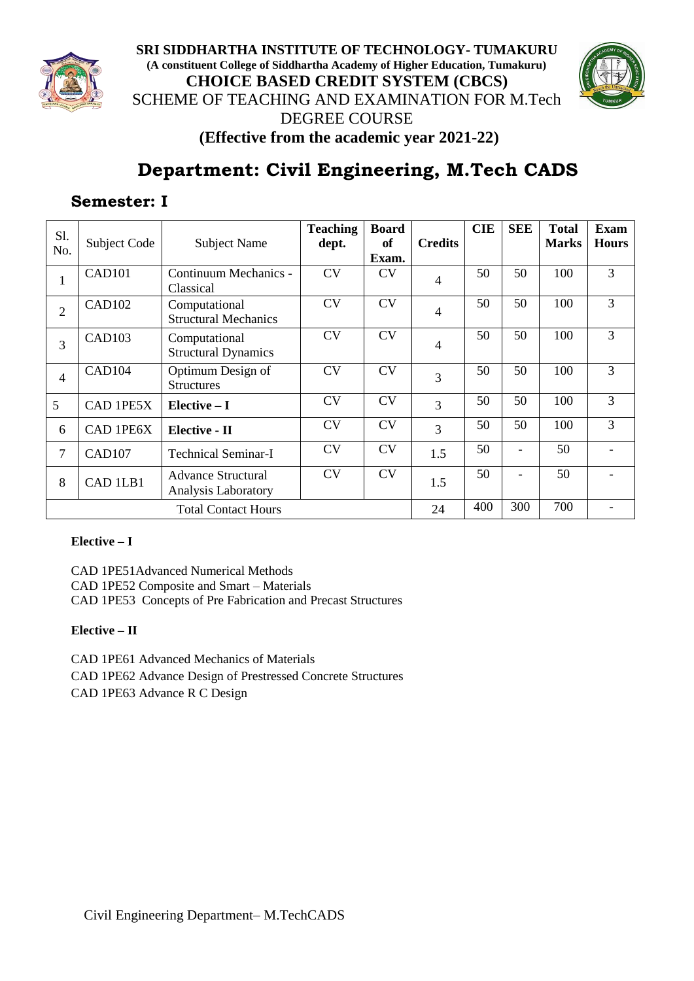



# **Department: Civil Engineering, M.Tech CADS**

# **Semester: I**

| S1.<br>No.     | Subject Code       | <b>Subject Name</b>                              | <b>Teaching</b><br>dept. | <b>Board</b><br>of<br>Exam. | <b>Credits</b> | <b>CIE</b> | <b>SEE</b>               | <b>Total</b><br><b>Marks</b> | <b>Exam</b><br><b>Hours</b> |
|----------------|--------------------|--------------------------------------------------|--------------------------|-----------------------------|----------------|------------|--------------------------|------------------------------|-----------------------------|
| $\mathbf{1}$   | <b>CAD101</b>      | Continuum Mechanics -<br>Classical               | <b>CV</b>                | <b>CV</b>                   | 4              | 50         | 50                       | 100                          | 3                           |
| $\overline{2}$ | CAD <sub>102</sub> | Computational<br><b>Structural Mechanics</b>     | <b>CV</b>                | <b>CV</b>                   | 4              | 50         | 50                       | 100                          | 3                           |
| 3              | CAD103             | Computational<br><b>Structural Dynamics</b>      | CV                       | CV                          | 4              | 50         | 50                       | 100                          | 3                           |
| 4              | CAD <sub>104</sub> | Optimum Design of<br><b>Structures</b>           | <b>CV</b>                | <b>CV</b>                   | 3              | 50         | 50                       | 100                          | 3                           |
| 5              | CAD 1PE5X          | $Elective-I$                                     | <b>CV</b>                | CV                          | 3              | 50         | 50                       | 100                          | 3                           |
| 6              | CAD 1PE6X          | Elective - II                                    | <b>CV</b>                | CV                          | 3              | 50         | 50                       | 100                          | 3                           |
| 7              | CAD107             | <b>Technical Seminar-I</b>                       | <b>CV</b>                | CV                          | 1.5            | 50         | $\overline{\phantom{a}}$ | 50                           |                             |
| 8              | CAD 1LB1           | <b>Advance Structural</b><br>Analysis Laboratory | <b>CV</b>                | CV                          | 1.5            | 50         |                          | 50                           |                             |
|                |                    | <b>Total Contact Hours</b>                       |                          |                             | 24             | 400        | 300                      | 700                          |                             |

### **Elective – I**

CAD 1PE51Advanced Numerical Methods CAD 1PE52 Composite and Smart – Materials CAD 1PE53 Concepts of Pre Fabrication and Precast Structures

### **Elective – II**

CAD 1PE61 Advanced Mechanics of Materials CAD 1PE62 Advance Design of Prestressed Concrete Structures CAD 1PE63 Advance R C Design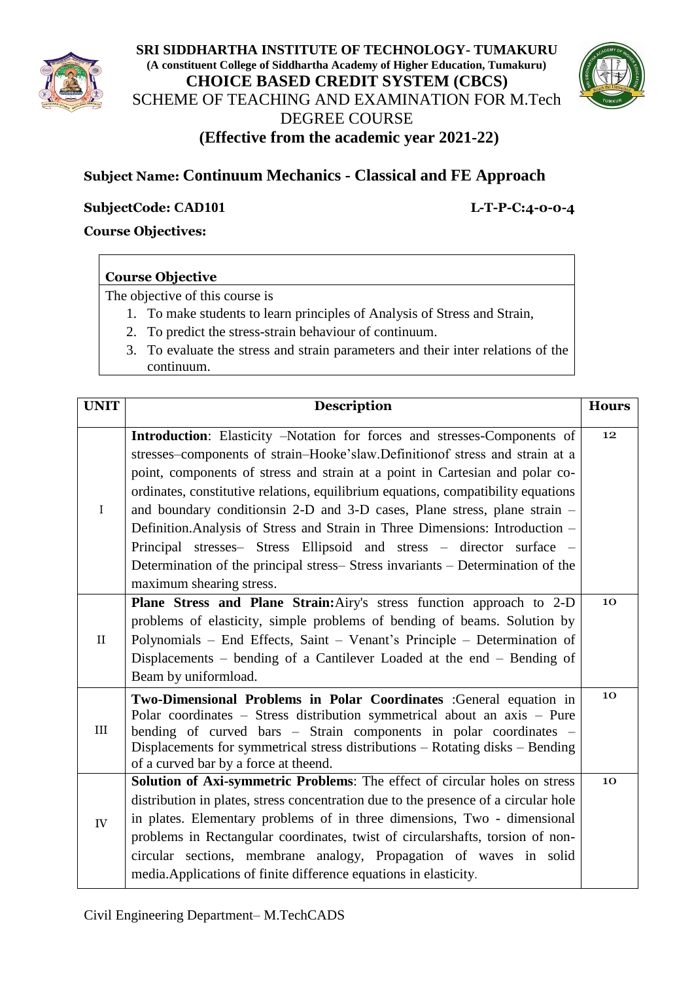



# **Subject Name: Continuum Mechanics - Classical and FE Approach**

### **SubjectCode: CAD101 L-T-P-C:4-0-0-4**

### **Course Objectives:**

### **Course Objective**

The objective of this course is

- 1. To make students to learn principles of Analysis of Stress and Strain,
- 2. To predict the stress-strain behaviour of continuum.
- 3. To evaluate the stress and strain parameters and their inter relations of the continuum.

| <b>UNIT</b> | <b>Description</b>                                                                                                                                                                                                                                                                                                                                                                                                                                                                                                                                                                                                                                                                 | <b>Hours</b>    |
|-------------|------------------------------------------------------------------------------------------------------------------------------------------------------------------------------------------------------------------------------------------------------------------------------------------------------------------------------------------------------------------------------------------------------------------------------------------------------------------------------------------------------------------------------------------------------------------------------------------------------------------------------------------------------------------------------------|-----------------|
| $\rm I$     | Introduction: Elasticity -Notation for forces and stresses-Components of<br>stresses-components of strain-Hooke'slaw.Definitionof stress and strain at a<br>point, components of stress and strain at a point in Cartesian and polar co-<br>ordinates, constitutive relations, equilibrium equations, compatibility equations<br>and boundary conditions in 2-D and 3-D cases, Plane stress, plane strain –<br>Definition. Analysis of Stress and Strain in Three Dimensions: Introduction –<br>Principal stresses- Stress Ellipsoid and stress - director surface -<br>Determination of the principal stress–Stress invariants – Determination of the<br>maximum shearing stress. | 12              |
| $\rm II$    | Plane Stress and Plane Strain: Airy's stress function approach to 2-D<br>problems of elasticity, simple problems of bending of beams. Solution by<br>Polynomials - End Effects, Saint - Venant's Principle - Determination of<br>Displacements – bending of a Cantilever Loaded at the end – Bending of<br>Beam by uniformload.                                                                                                                                                                                                                                                                                                                                                    | 10              |
| III         | Two-Dimensional Problems in Polar Coordinates :General equation in<br>Polar coordinates - Stress distribution symmetrical about an axis - Pure<br>bending of curved bars - Strain components in polar coordinates -<br>Displacements for symmetrical stress distributions - Rotating disks - Bending<br>of a curved bar by a force at the end.                                                                                                                                                                                                                                                                                                                                     | 10 <sup>1</sup> |
| IV          | Solution of Axi-symmetric Problems: The effect of circular holes on stress<br>distribution in plates, stress concentration due to the presence of a circular hole<br>in plates. Elementary problems of in three dimensions, Two - dimensional<br>problems in Rectangular coordinates, twist of circularshafts, torsion of non-<br>circular sections, membrane analogy, Propagation of waves in solid<br>media. Applications of finite difference equations in elasticity.                                                                                                                                                                                                          | 10              |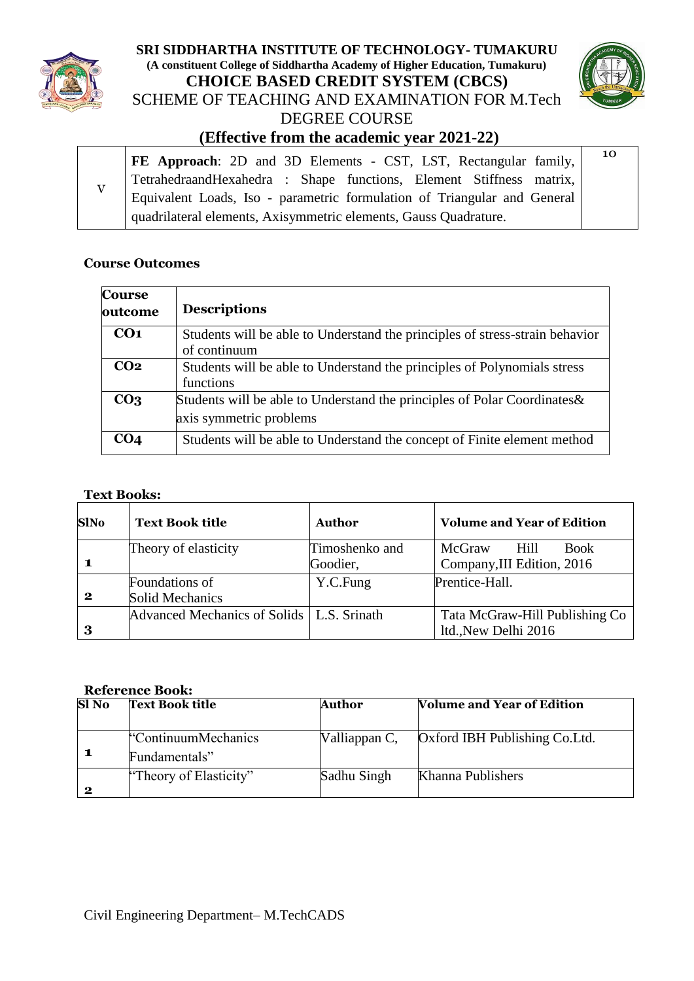



# **(Effective from the academic year 2021-22)**

|  | <b>FE Approach:</b> 2D and 3D Elements - CST, LST, Rectangular family,   | 10 |
|--|--------------------------------------------------------------------------|----|
|  | TetrahedraandHexahedra : Shape functions, Element Stiffness matrix,      |    |
|  | Equivalent Loads, Iso - parametric formulation of Triangular and General |    |
|  | quadrilateral elements, Axisymmetric elements, Gauss Quadrature.         |    |

### **Course Outcomes**

| <b>Course</b><br>outcome | <b>Descriptions</b>                                                                                  |
|--------------------------|------------------------------------------------------------------------------------------------------|
| CO <sub>1</sub>          | Students will be able to Understand the principles of stress-strain behavior<br>of continuum         |
| CO <sub>2</sub>          | Students will be able to Understand the principles of Polynomials stress<br>functions                |
| CO <sub>3</sub>          | Students will be able to Understand the principles of Polar Coordinates &<br>axis symmetric problems |
| CO4                      | Students will be able to Understand the concept of Finite element method                             |

### **Text Books:**

| <b>SlNo</b> | <b>Text Book title</b>                      | <b>Author</b>  | <b>Volume and Year of Edition</b> |
|-------------|---------------------------------------------|----------------|-----------------------------------|
|             | Theory of elasticity                        | Timoshenko and | McGraw<br><b>Book</b><br>Hill     |
|             |                                             | Goodier,       | Company, III Edition, 2016        |
|             | Foundations of                              | Y.C.Fung       | Prentice-Hall.                    |
| 2           | <b>Solid Mechanics</b>                      |                |                                   |
|             | Advanced Mechanics of Solids   L.S. Srinath |                | Tata McGraw-Hill Publishing Co    |
|             |                                             |                | ltd., New Delhi 2016              |

| Sl No    | <b>Text Book title</b>                | Author        | <b>Volume and Year of Edition</b> |
|----------|---------------------------------------|---------------|-----------------------------------|
|          | "ContinuumMechanics"<br>Fundamentals" | Valliappan C, | Oxford IBH Publishing Co. Ltd.    |
| $\bf{2}$ | "Theory of Elasticity"                | Sadhu Singh   | Khanna Publishers                 |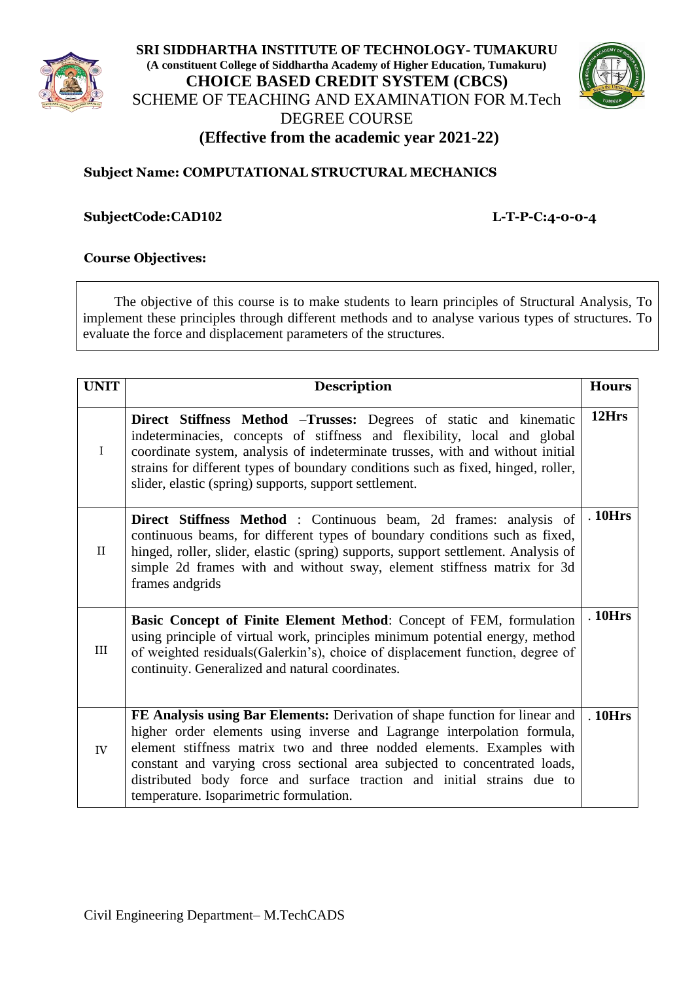



### **Subject Name: COMPUTATIONAL STRUCTURAL MECHANICS**

### **SubjectCode:CAD102 L-T-P-C:4-0-0-4**

### **Course Objectives:**

The objective of this course is to make students to learn principles of Structural Analysis, To implement these principles through different methods and to analyse various types of structures. To evaluate the force and displacement parameters of the structures.

| <b>UNIT</b> | <b>Description</b>                                                                                                                                                                                                                                                                                                                                                                                                                 | <b>Hours</b> |
|-------------|------------------------------------------------------------------------------------------------------------------------------------------------------------------------------------------------------------------------------------------------------------------------------------------------------------------------------------------------------------------------------------------------------------------------------------|--------------|
| $\mathbf I$ | <b>Direct Stiffness Method –Trusses:</b> Degrees of static and kinematic<br>indeterminacies, concepts of stiffness and flexibility, local and global<br>coordinate system, analysis of indeterminate trusses, with and without initial<br>strains for different types of boundary conditions such as fixed, hinged, roller,<br>slider, elastic (spring) supports, support settlement.                                              | 12Hrs        |
| $\rm II$    | <b>Direct Stiffness Method</b> : Continuous beam, 2d frames: analysis of<br>continuous beams, for different types of boundary conditions such as fixed,<br>hinged, roller, slider, elastic (spring) supports, support settlement. Analysis of<br>simple 2d frames with and without sway, element stiffness matrix for 3d<br>frames and grids                                                                                       | $.10$ Hrs    |
| III         | Basic Concept of Finite Element Method: Concept of FEM, formulation<br>using principle of virtual work, principles minimum potential energy, method<br>of weighted residuals(Galerkin's), choice of displacement function, degree of<br>continuity. Generalized and natural coordinates.                                                                                                                                           | $.10$ Hrs    |
| IV          | FE Analysis using Bar Elements: Derivation of shape function for linear and<br>higher order elements using inverse and Lagrange interpolation formula,<br>element stiffness matrix two and three nodded elements. Examples with<br>constant and varying cross sectional area subjected to concentrated loads,<br>distributed body force and surface traction and initial strains due to<br>temperature. Isoparimetric formulation. | .10Hrs       |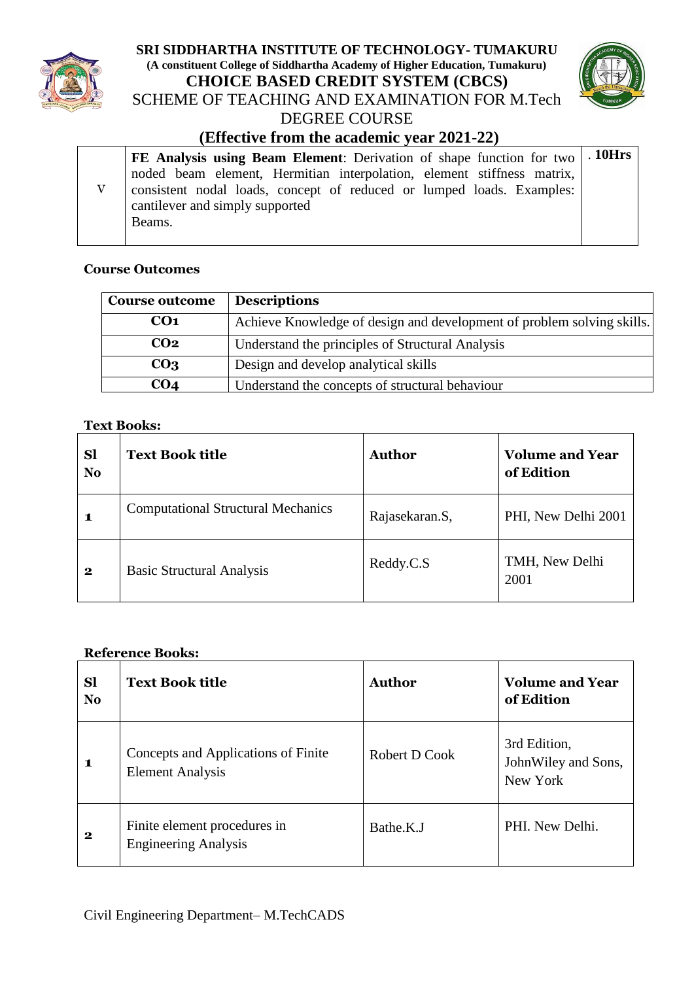



# **(Effective from the academic year 2021-22)**

| <b>FE Analysis using Beam Element:</b> Derivation of shape function for two   . 10Hrs                    |  |
|----------------------------------------------------------------------------------------------------------|--|
| noded beam element, Hermitian interpolation, element stiffness matrix,                                   |  |
| consistent nodal loads, concept of reduced or lumped loads. Examples:<br>cantilever and simply supported |  |
| Beams.                                                                                                   |  |
|                                                                                                          |  |

### **Course Outcomes**

| <b>Course outcome</b> | <b>Descriptions</b>                                                    |
|-----------------------|------------------------------------------------------------------------|
| CO <sub>1</sub>       | Achieve Knowledge of design and development of problem solving skills. |
| CO <sub>2</sub>       | Understand the principles of Structural Analysis                       |
| CO <sub>3</sub>       | Design and develop analytical skills                                   |
| CO4                   | Understand the concepts of structural behaviour                        |

### **Text Books:**

| <b>Sl</b><br>N <sub>o</sub> | <b>Text Book title</b>                    | <b>Author</b>  | <b>Volume and Year</b><br>of Edition |
|-----------------------------|-------------------------------------------|----------------|--------------------------------------|
| 1                           | <b>Computational Structural Mechanics</b> | Rajasekaran.S, | PHI, New Delhi 2001                  |
| $\bf{2}$                    | <b>Basic Structural Analysis</b>          | Reddy.C.S      | TMH, New Delhi<br>2001               |

| <b>Sl</b><br>N <sub>o</sub> | <b>Text Book title</b>                                         | <b>Author</b> | <b>Volume and Year</b><br>of Edition            |
|-----------------------------|----------------------------------------------------------------|---------------|-------------------------------------------------|
| $\blacksquare$              | Concepts and Applications of Finite<br><b>Element Analysis</b> | Robert D Cook | 3rd Edition,<br>JohnWiley and Sons,<br>New York |
| $\mathbf{2}$                | Finite element procedures in<br><b>Engineering Analysis</b>    | Bathe.K.J     | PHI. New Delhi.                                 |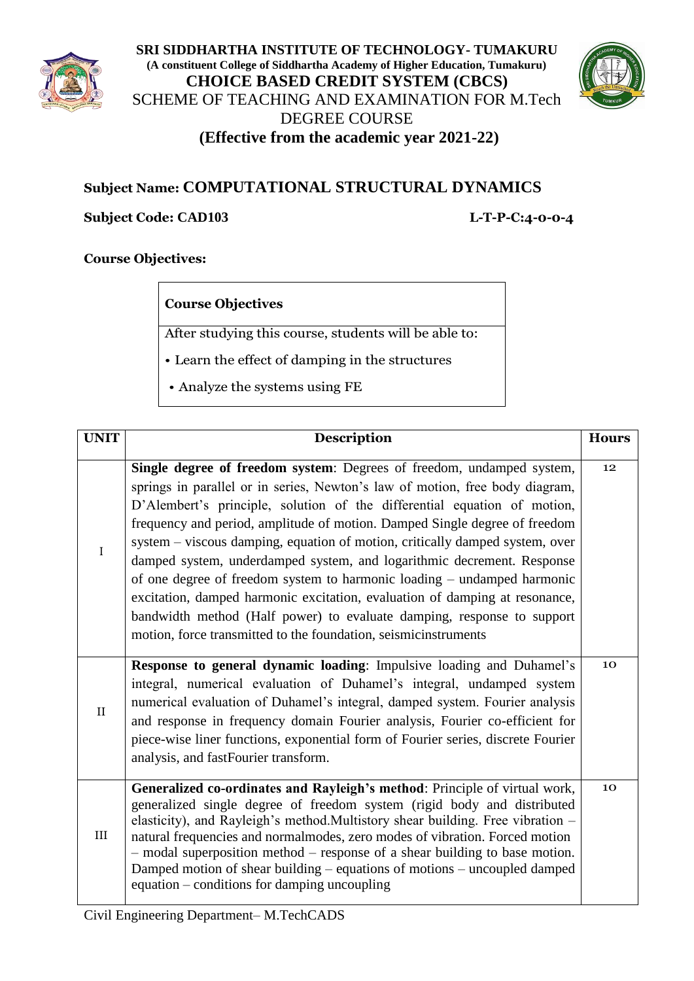



# **Subject Name: COMPUTATIONAL STRUCTURAL DYNAMICS**

**Subject Code: CAD103 L-T-P-C:4-0-0-4**

### **Course Objectives:**

**Course Objectives**

After studying this course, students will be able to:

• Learn the effect of damping in the structures

• Analyze the systems using FE

| <b>UNIT</b>  | <b>Description</b>                                                                                                                                                                                                                                                                                                                                                                                                                                                                                                                                                                                                                                                                                                                                                               | <b>Hours</b> |
|--------------|----------------------------------------------------------------------------------------------------------------------------------------------------------------------------------------------------------------------------------------------------------------------------------------------------------------------------------------------------------------------------------------------------------------------------------------------------------------------------------------------------------------------------------------------------------------------------------------------------------------------------------------------------------------------------------------------------------------------------------------------------------------------------------|--------------|
| $\mathbf I$  | Single degree of freedom system: Degrees of freedom, undamped system,<br>springs in parallel or in series, Newton's law of motion, free body diagram,<br>D'Alembert's principle, solution of the differential equation of motion,<br>frequency and period, amplitude of motion. Damped Single degree of freedom<br>system – viscous damping, equation of motion, critically damped system, over<br>damped system, underdamped system, and logarithmic decrement. Response<br>of one degree of freedom system to harmonic loading – undamped harmonic<br>excitation, damped harmonic excitation, evaluation of damping at resonance,<br>bandwidth method (Half power) to evaluate damping, response to support<br>motion, force transmitted to the foundation, seismicinstruments | 12           |
| $\mathbf{I}$ | Response to general dynamic loading: Impulsive loading and Duhamel's<br>integral, numerical evaluation of Duhamel's integral, undamped system<br>numerical evaluation of Duhamel's integral, damped system. Fourier analysis<br>and response in frequency domain Fourier analysis, Fourier co-efficient for<br>piece-wise liner functions, exponential form of Fourier series, discrete Fourier<br>analysis, and fastFourier transform.                                                                                                                                                                                                                                                                                                                                          | 10           |
| III          | Generalized co-ordinates and Rayleigh's method: Principle of virtual work,<br>generalized single degree of freedom system (rigid body and distributed<br>elasticity), and Rayleigh's method. Multistory shear building. Free vibration -<br>natural frequencies and normalmodes, zero modes of vibration. Forced motion<br>- modal superposition method - response of a shear building to base motion.<br>Damped motion of shear building – equations of motions – uncoupled damped<br>equation – conditions for damping uncoupling                                                                                                                                                                                                                                              | 10           |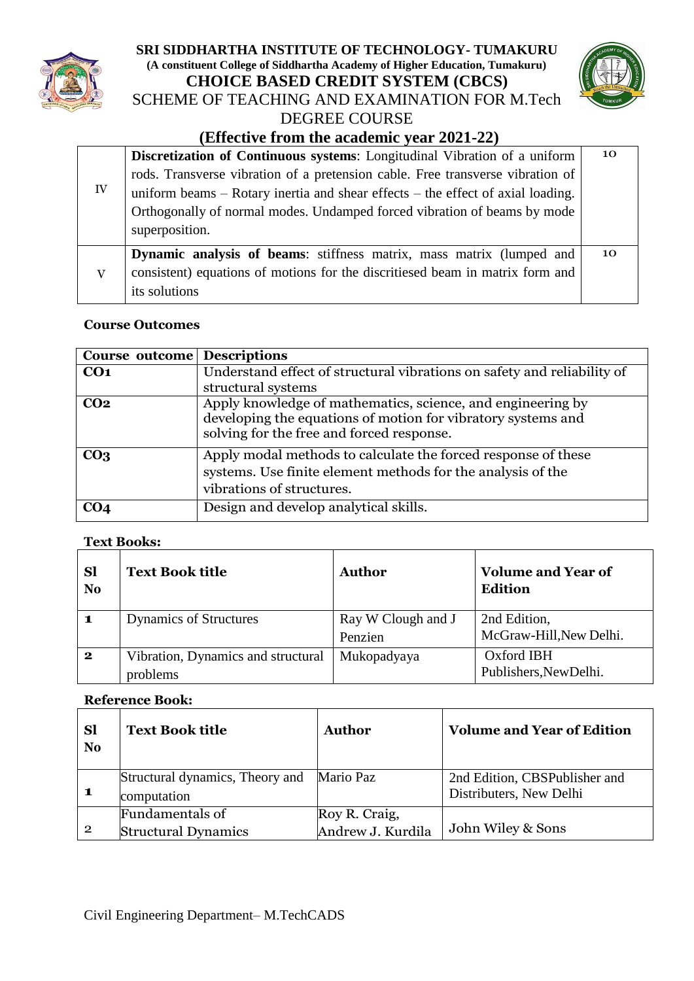



# **(Effective from the academic year 2021-22)**

|    | <b>Discretization of Continuous systems:</b> Longitudinal Vibration of a uniform                                                                                              | 10 |
|----|-------------------------------------------------------------------------------------------------------------------------------------------------------------------------------|----|
| IV | rods. Transverse vibration of a pretension cable. Free transverse vibration of<br>uniform beams $-$ Rotary inertia and shear effects $-$ the effect of axial loading.         |    |
|    | Orthogonally of normal modes. Undamped forced vibration of beams by mode<br>superposition.                                                                                    |    |
| V  | <b>Dynamic analysis of beams:</b> stiffness matrix, mass matrix (lumped and<br>consistent) equations of motions for the discritiesed beam in matrix form and<br>its solutions | 10 |

### **Course Outcomes**

| <b>Course outcome</b> Descriptions |                                                                                                                                                                          |
|------------------------------------|--------------------------------------------------------------------------------------------------------------------------------------------------------------------------|
| CO <sub>1</sub>                    | Understand effect of structural vibrations on safety and reliability of                                                                                                  |
|                                    | structural systems                                                                                                                                                       |
| CO <sub>2</sub>                    | Apply knowledge of mathematics, science, and engineering by<br>developing the equations of motion for vibratory systems and<br>solving for the free and forced response. |
| CO <sub>3</sub>                    | Apply modal methods to calculate the forced response of these<br>systems. Use finite element methods for the analysis of the<br>vibrations of structures.                |
| CO <sub>4</sub>                    | Design and develop analytical skills.                                                                                                                                    |

### **Text Books:**

| <b>Sl</b><br>N <sub>o</sub> | <b>Text Book title</b>             | <b>Author</b>      | <b>Volume and Year of</b><br><b>Edition</b> |
|-----------------------------|------------------------------------|--------------------|---------------------------------------------|
| $\mathbf 1$                 | <b>Dynamics of Structures</b>      | Ray W Clough and J | 2nd Edition,                                |
|                             |                                    | Penzien            | McGraw-Hill, New Delhi.                     |
| $\overline{\mathbf{2}}$     | Vibration, Dynamics and structural | Mukopadyaya        | Oxford IBH                                  |
|                             | problems                           |                    | Publishers, New Delhi.                      |

| <b>Sl</b><br>N <sub>o</sub> | <b>Text Book title</b>                                   | <b>Author</b>                      | <b>Volume and Year of Edition</b>                        |
|-----------------------------|----------------------------------------------------------|------------------------------------|----------------------------------------------------------|
|                             | Structural dynamics, Theory and Mario Paz<br>computation |                                    | 2nd Edition, CBSPublisher and<br>Distributers, New Delhi |
| $\mathbf{2}$                | Fundamentals of<br><b>Structural Dynamics</b>            | Roy R. Craig,<br>Andrew J. Kurdila | John Wiley & Sons                                        |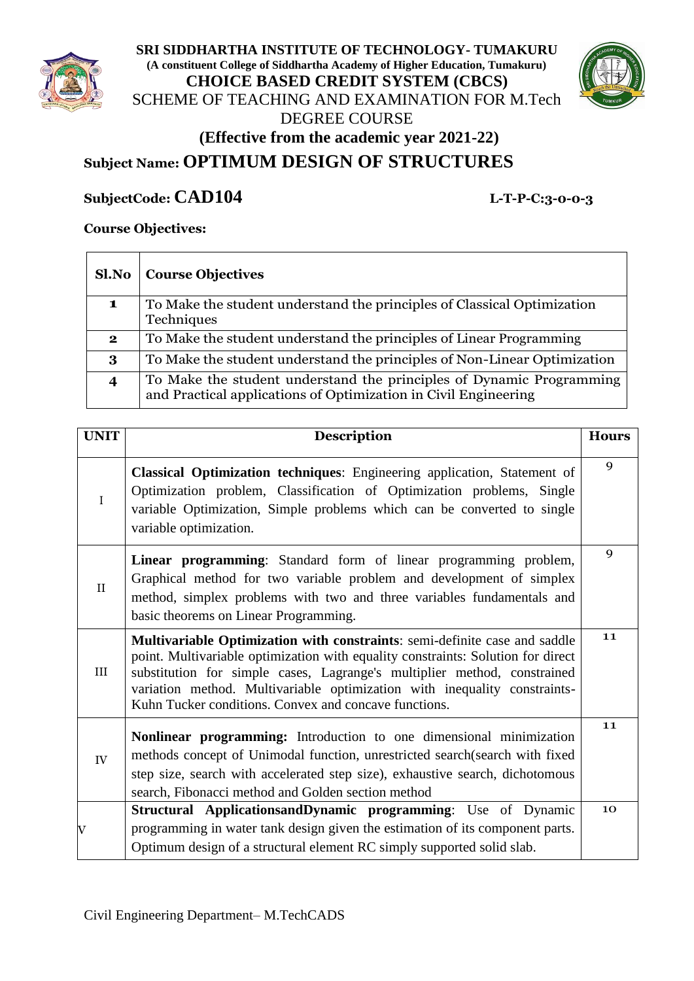



# **Subject Name: OPTIMUM DESIGN OF STRUCTURES**

# **SubjectCode: CAD104 L-T-P-C:3-0-0-3**

### **Course Objectives:**

| Sl.No    | <b>Course Objectives</b>                                                                                                                |
|----------|-----------------------------------------------------------------------------------------------------------------------------------------|
| 1        | To Make the student understand the principles of Classical Optimization<br>Techniques                                                   |
| $\bf{2}$ | To Make the student understand the principles of Linear Programming                                                                     |
| 3        | To Make the student understand the principles of Non-Linear Optimization                                                                |
|          | To Make the student understand the principles of Dynamic Programming<br>and Practical applications of Optimization in Civil Engineering |

| <b>UNIT</b>  | <b>Description</b>                                                                                                                                                                                                                                                                                                                                                               | <b>Hours</b> |
|--------------|----------------------------------------------------------------------------------------------------------------------------------------------------------------------------------------------------------------------------------------------------------------------------------------------------------------------------------------------------------------------------------|--------------|
| $\mathbf I$  | Classical Optimization techniques: Engineering application, Statement of<br>Optimization problem, Classification of Optimization problems, Single<br>variable Optimization, Simple problems which can be converted to single<br>variable optimization.                                                                                                                           | $\mathbf Q$  |
| $\mathbf{I}$ | Linear programming: Standard form of linear programming problem,<br>Graphical method for two variable problem and development of simplex<br>method, simplex problems with two and three variables fundamentals and<br>basic theorems on Linear Programming.                                                                                                                      | $\mathbf Q$  |
| III          | Multivariable Optimization with constraints: semi-definite case and saddle<br>point. Multivariable optimization with equality constraints: Solution for direct<br>substitution for simple cases, Lagrange's multiplier method, constrained<br>variation method. Multivariable optimization with inequality constraints-<br>Kuhn Tucker conditions. Convex and concave functions. | 11           |
| IV           | Nonlinear programming: Introduction to one dimensional minimization<br>methods concept of Unimodal function, unrestricted search(search with fixed<br>step size, search with accelerated step size), exhaustive search, dichotomous<br>search, Fibonacci method and Golden section method                                                                                        | 11           |
| V            | Structural ApplicationsandDynamic programming: Use of Dynamic<br>programming in water tank design given the estimation of its component parts.<br>Optimum design of a structural element RC simply supported solid slab.                                                                                                                                                         | 10           |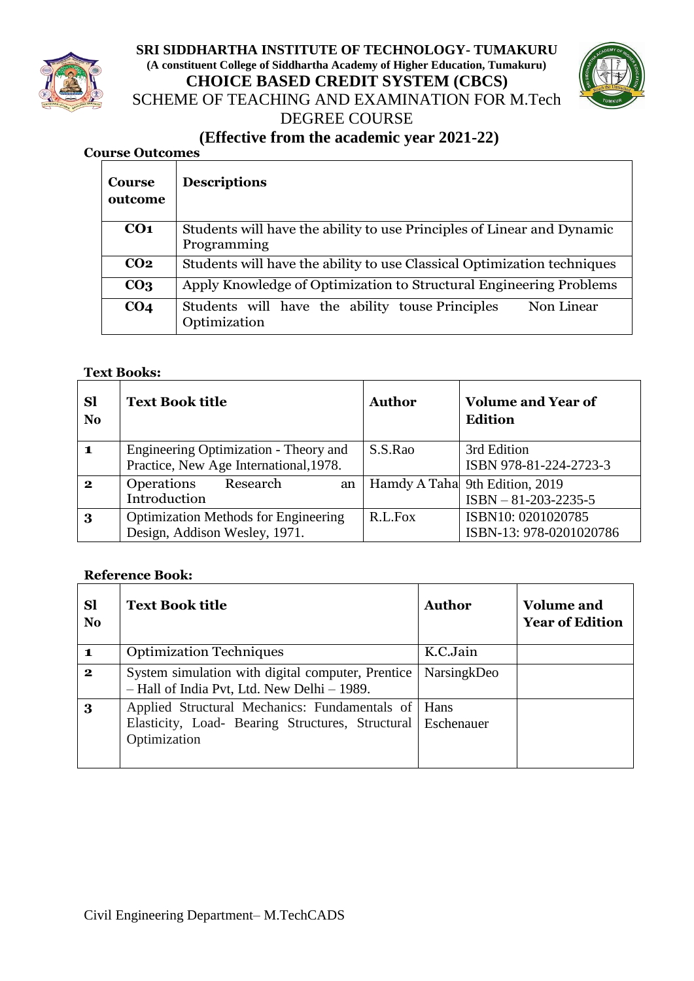



# **(Effective from the academic year 2021-22)**

### **Course Outcomes**

| <b>Course</b><br>outcome | <b>Descriptions</b>                                                           |  |
|--------------------------|-------------------------------------------------------------------------------|--|
| CO <sub>1</sub>          | Students will have the ability to use Principles of Linear and Dynamic        |  |
|                          | Programming                                                                   |  |
| CO <sub>2</sub>          | Students will have the ability to use Classical Optimization techniques       |  |
| CO <sub>3</sub>          | Apply Knowledge of Optimization to Structural Engineering Problems            |  |
| CO <sub>4</sub>          | Non Linear<br>Students will have the ability touse Principles<br>Optimization |  |

### **Text Books:**

| <b>Sl</b><br>N <sub>o</sub> | <b>Text Book title</b>                                                          | <b>Author</b> | <b>Volume and Year of</b><br><b>Edition</b>                    |
|-----------------------------|---------------------------------------------------------------------------------|---------------|----------------------------------------------------------------|
|                             | Engineering Optimization - Theory and<br>Practice, New Age International, 1978. | S.S.Rao       | 3rd Edition<br>ISBN 978-81-224-2723-3                          |
| $\mathbf{2}$                | Operations<br>Research<br>an<br>Introduction                                    |               | Hamdy A Taha 9th Edition, 2019<br>$ISBN - 81 - 203 - 2235 - 5$ |
| 3                           | <b>Optimization Methods for Engineering</b><br>Design, Addison Wesley, 1971.    | R.L.Fox       | ISBN10: 0201020785<br>ISBN-13: 978-0201020786                  |

| <b>Sl</b><br>N <sub>o</sub> | <b>Text Book title</b>                                                                                                              | Author      | Volume and<br><b>Year of Edition</b> |
|-----------------------------|-------------------------------------------------------------------------------------------------------------------------------------|-------------|--------------------------------------|
| $\mathbf{1}$                | <b>Optimization Techniques</b>                                                                                                      | K.C.Jain    |                                      |
| $\overline{\mathbf{2}}$     | System simulation with digital computer, Prentice<br>- Hall of India Pvt, Ltd. New Delhi - 1989.                                    | NarsingkDeo |                                      |
| 3                           | Applied Structural Mechanics: Fundamentals of Hans<br>Elasticity, Load- Bearing Structures, Structural   Eschenauer<br>Optimization |             |                                      |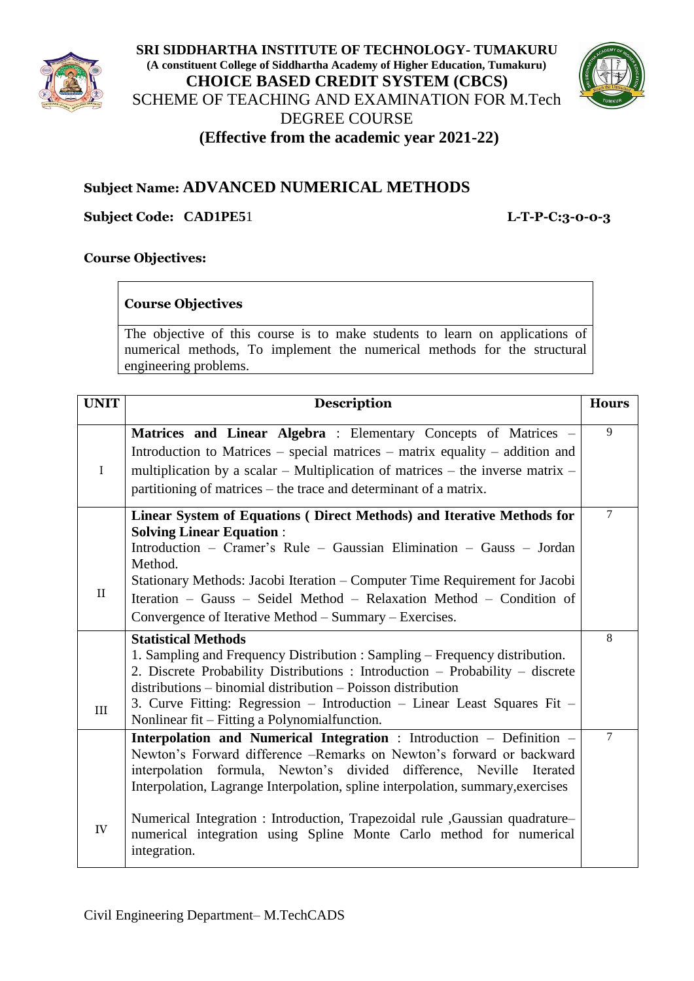



# **Subject Name: ADVANCED NUMERICAL METHODS**

### **Subject Code: CAD1PE5**1 **L-T-P-C:3-0-0-3**

### **Course Objectives:**

### **Course Objectives**

The objective of this course is to make students to learn on applications of numerical methods, To implement the numerical methods for the structural engineering problems.

| <b>UNIT</b>  | <b>Description</b>                                                                                                                                                  | <b>Hours</b>   |
|--------------|---------------------------------------------------------------------------------------------------------------------------------------------------------------------|----------------|
|              | Matrices and Linear Algebra : Elementary Concepts of Matrices -                                                                                                     | 9              |
|              | Introduction to Matrices – special matrices – matrix equality – addition and                                                                                        |                |
| $\mathbf I$  | multiplication by a scalar – Multiplication of matrices – the inverse matrix –                                                                                      |                |
|              | partitioning of matrices – the trace and determinant of a matrix.                                                                                                   |                |
|              | Linear System of Equations (Direct Methods) and Iterative Methods for<br><b>Solving Linear Equation:</b>                                                            | $\tau$         |
|              | Introduction - Cramer's Rule - Gaussian Elimination - Gauss - Jordan<br>Method.                                                                                     |                |
|              | Stationary Methods: Jacobi Iteration – Computer Time Requirement for Jacobi                                                                                         |                |
| $\mathbf{I}$ | Iteration - Gauss - Seidel Method - Relaxation Method - Condition of                                                                                                |                |
|              | Convergence of Iterative Method - Summary - Exercises.                                                                                                              |                |
|              | <b>Statistical Methods</b>                                                                                                                                          | 8              |
|              | 1. Sampling and Frequency Distribution : Sampling - Frequency distribution.                                                                                         |                |
|              | 2. Discrete Probability Distributions: Introduction – Probability – discrete<br>distributions – binomial distribution – Poisson distribution                        |                |
|              | 3. Curve Fitting: Regression - Introduction - Linear Least Squares Fit -                                                                                            |                |
| III          | Nonlinear fit - Fitting a Polynomialfunction.                                                                                                                       |                |
|              | Interpolation and Numerical Integration : Introduction - Definition -                                                                                               | $\overline{7}$ |
|              | Newton's Forward difference --Remarks on Newton's forward or backward                                                                                               |                |
|              | interpolation formula, Newton's divided difference, Neville Iterated                                                                                                |                |
|              | Interpolation, Lagrange Interpolation, spline interpolation, summary, exercises                                                                                     |                |
| IV           | Numerical Integration : Introduction, Trapezoidal rule , Gaussian quadrature<br>numerical integration using Spline Monte Carlo method for numerical<br>integration. |                |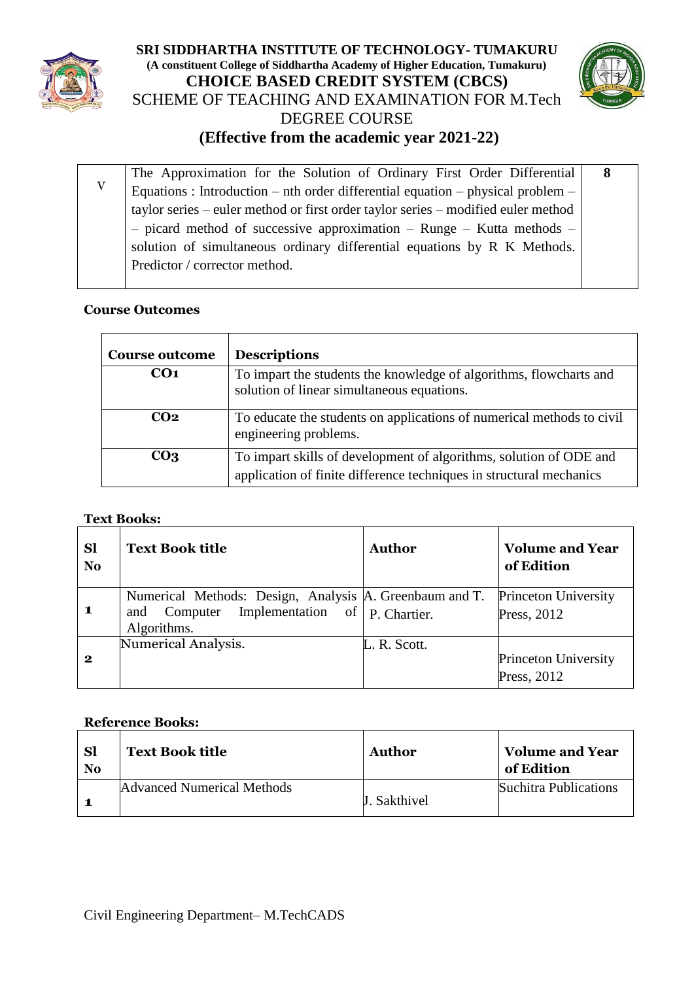



V The Approximation for the Solution of Ordinary First Order Differential Equations : Introduction – nth order differential equation – physical problem – taylor series – euler method or first order taylor series – modified euler method – picard method of successive approximation – Runge – Kutta methods – solution of simultaneous ordinary differential equations by R K Methods. Predictor / corrector method.  **8**

### **Course Outcomes**

| <b>Course outcome</b> | <b>Descriptions</b>                                                                                                                       |
|-----------------------|-------------------------------------------------------------------------------------------------------------------------------------------|
| CO <sub>1</sub>       | To impart the students the knowledge of algorithms, flowcharts and<br>solution of linear simultaneous equations.                          |
| CO <sub>2</sub>       | To educate the students on applications of numerical methods to civil<br>engineering problems.                                            |
| CO <sub>3</sub>       | To impart skills of development of algorithms, solution of ODE and<br>application of finite difference techniques in structural mechanics |

### **Text Books:**

| <b>Sl</b><br>N <sub>o</sub> | <b>Text Book title</b>                                                                                                            | <b>Author</b> | <b>Volume and Year</b><br>of Edition       |
|-----------------------------|-----------------------------------------------------------------------------------------------------------------------------------|---------------|--------------------------------------------|
| 1                           | Numerical Methods: Design, Analysis  A. Greenbaum and T.<br>Computer Implementation of $\vert$ P. Chartier.<br>and<br>Algorithms. |               | Princeton University<br>Press, 2012        |
| $\mathbf{2}$                | Numerical Analysis.                                                                                                               | L. R. Scott.  | <b>Princeton University</b><br>Press, 2012 |

| <b>SI</b><br>N <sub>0</sub> | <b>Text Book title</b>            | <b>Author</b>       | <b>Volume and Year</b><br>of Edition |
|-----------------------------|-----------------------------------|---------------------|--------------------------------------|
|                             | <b>Advanced Numerical Methods</b> | <b>J.</b> Sakthivel | <b>Suchitra Publications</b>         |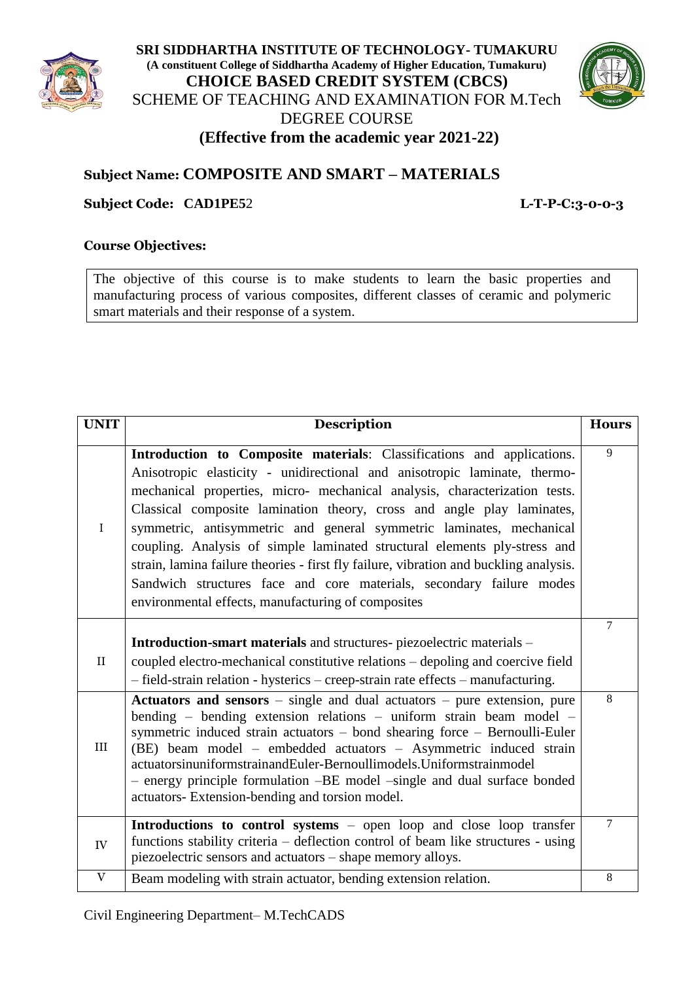



# **Subject Name: COMPOSITE AND SMART – MATERIALS**

### **Subject Code: CAD1PE5**2 **L-T-P-C:3-0-0-3**

### **Course Objectives:**

The objective of this course is to make students to learn the basic properties and manufacturing process of various composites, different classes of ceramic and polymeric smart materials and their response of a system.

| <b>UNIT</b> | <b>Description</b>                                                                                                                                                                                                                                                                                                                                                                                                                                                                                                                                                                                                                                                                      | <b>Hours</b>   |
|-------------|-----------------------------------------------------------------------------------------------------------------------------------------------------------------------------------------------------------------------------------------------------------------------------------------------------------------------------------------------------------------------------------------------------------------------------------------------------------------------------------------------------------------------------------------------------------------------------------------------------------------------------------------------------------------------------------------|----------------|
| $\rm I$     | Introduction to Composite materials: Classifications and applications.<br>Anisotropic elasticity - unidirectional and anisotropic laminate, thermo-<br>mechanical properties, micro- mechanical analysis, characterization tests.<br>Classical composite lamination theory, cross and angle play laminates,<br>symmetric, antisymmetric and general symmetric laminates, mechanical<br>coupling. Analysis of simple laminated structural elements ply-stress and<br>strain, lamina failure theories - first fly failure, vibration and buckling analysis.<br>Sandwich structures face and core materials, secondary failure modes<br>environmental effects, manufacturing of composites | 9              |
| II          | <b>Introduction-smart materials</b> and structures- piezoelectric materials –<br>coupled electro-mechanical constitutive relations – depoling and coercive field<br>- field-strain relation - hysterics - creep-strain rate effects - manufacturing.                                                                                                                                                                                                                                                                                                                                                                                                                                    | $\tau$         |
| III         | Actuators and sensors $-$ single and dual actuators $-$ pure extension, pure<br>bending - bending extension relations - uniform strain beam model -<br>symmetric induced strain actuators – bond shearing force – Bernoulli-Euler<br>(BE) beam model – embedded actuators – Asymmetric induced strain<br>actuatorsinuniformstrainandEuler-Bernoullimodels.Uniformstrainmodel<br>- energy principle formulation -BE model -single and dual surface bonded<br>actuators- Extension-bending and torsion model.                                                                                                                                                                             | 8              |
| IV          | Introductions to control systems – open loop and close loop transfer<br>functions stability criteria – deflection control of beam like structures - using<br>piezoelectric sensors and actuators – shape memory alloys.                                                                                                                                                                                                                                                                                                                                                                                                                                                                 | $\overline{7}$ |
| $\mathbf V$ | Beam modeling with strain actuator, bending extension relation.                                                                                                                                                                                                                                                                                                                                                                                                                                                                                                                                                                                                                         | 8              |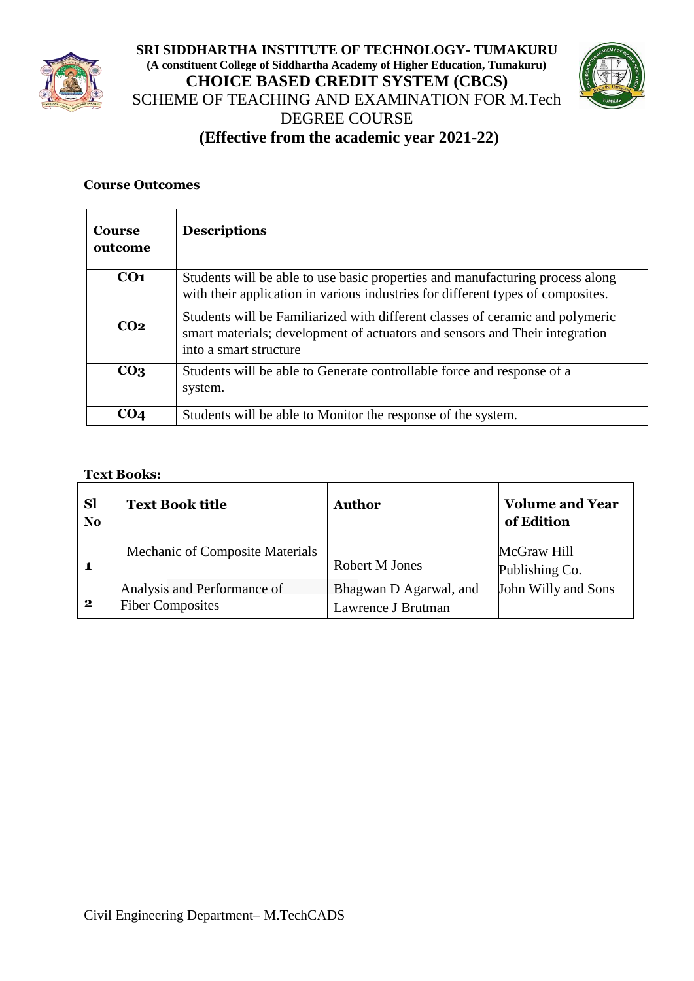



## **Course Outcomes**

| <b>Course</b><br>outcome | <b>Descriptions</b>                                                                                                                                                                    |
|--------------------------|----------------------------------------------------------------------------------------------------------------------------------------------------------------------------------------|
| CO <sub>1</sub>          | Students will be able to use basic properties and manufacturing process along<br>with their application in various industries for different types of composites.                       |
| CO <sub>2</sub>          | Students will be Familiarized with different classes of ceramic and polymeric<br>smart materials; development of actuators and sensors and Their integration<br>into a smart structure |
| CO <sub>3</sub>          | Students will be able to Generate controllable force and response of a<br>system.                                                                                                      |
| CO <sub>4</sub>          | Students will be able to Monitor the response of the system.                                                                                                                           |

### **Text Books:**

| <b>Sl</b><br>N <sub>o</sub> | <b>Text Book title</b>                                 | Author                                       | <b>Volume and Year</b><br>of Edition |
|-----------------------------|--------------------------------------------------------|----------------------------------------------|--------------------------------------|
|                             | Mechanic of Composite Materials                        | Robert M Jones                               | McGraw Hill<br>Publishing Co.        |
| $\mathbf{2}$                | Analysis and Performance of<br><b>Fiber Composites</b> | Bhagwan D Agarwal, and<br>Lawrence J Brutman | John Willy and Sons                  |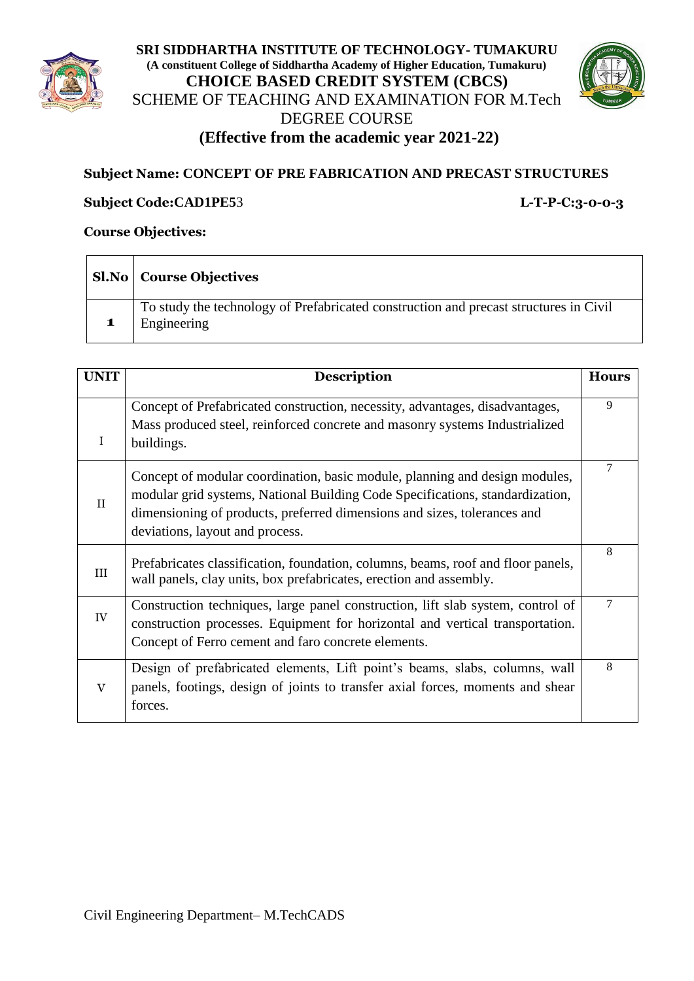



# **Subject Name: CONCEPT OF PRE FABRICATION AND PRECAST STRUCTURES**

### **Subject Code:CAD1PE5**3 **L-T-P-C:3-0-0-3**

### **Course Objectives:**

| <b>Sl.No</b> Course Objectives                                                                       |
|------------------------------------------------------------------------------------------------------|
| To study the technology of Prefabricated construction and precast structures in Civil<br>Engineering |

| <b>UNIT</b> | <b>Description</b>                                                                                                                                                                                                                                                          | <b>Hours</b> |
|-------------|-----------------------------------------------------------------------------------------------------------------------------------------------------------------------------------------------------------------------------------------------------------------------------|--------------|
| I           | Concept of Prefabricated construction, necessity, advantages, disadvantages,<br>Mass produced steel, reinforced concrete and masonry systems Industrialized<br>buildings.                                                                                                   | 9            |
| $\rm II$    | Concept of modular coordination, basic module, planning and design modules,<br>modular grid systems, National Building Code Specifications, standardization,<br>dimensioning of products, preferred dimensions and sizes, tolerances and<br>deviations, layout and process. | 7            |
| III         | Prefabricates classification, foundation, columns, beams, roof and floor panels,<br>wall panels, clay units, box prefabricates, erection and assembly.                                                                                                                      | 8            |
| IV          | Construction techniques, large panel construction, lift slab system, control of<br>construction processes. Equipment for horizontal and vertical transportation.<br>Concept of Ferro cement and faro concrete elements.                                                     | 7            |
| V           | Design of prefabricated elements, Lift point's beams, slabs, columns, wall<br>panels, footings, design of joints to transfer axial forces, moments and shear<br>forces.                                                                                                     | 8            |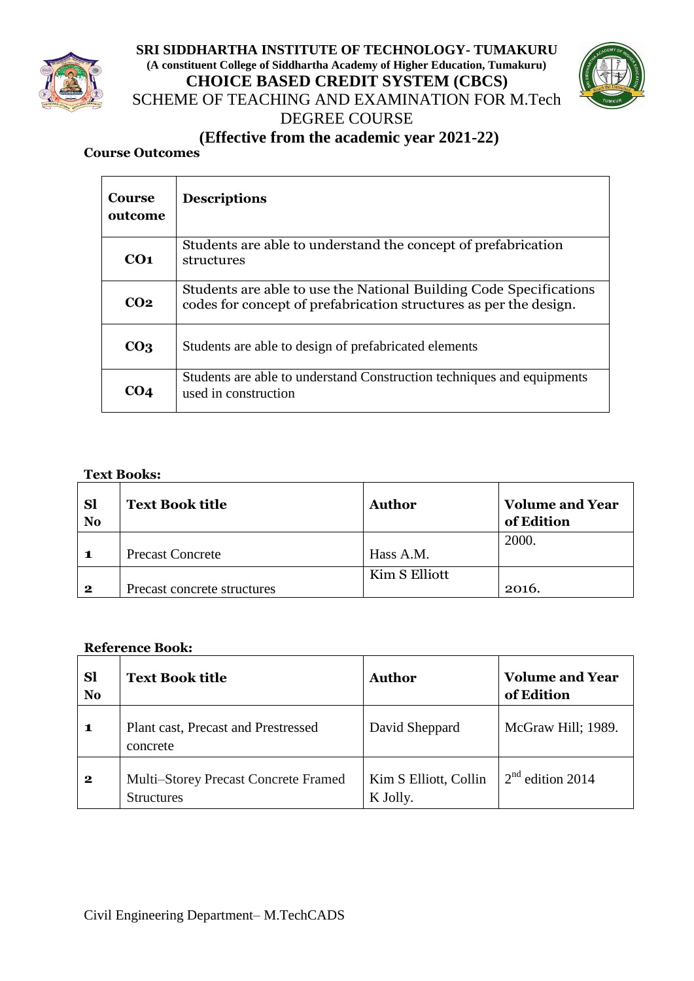



# **(Effective from the academic year 2021-22)**

## **Course Outcomes**

| <b>Course</b><br>outcome | <b>Descriptions</b>                                                                                                                     |
|--------------------------|-----------------------------------------------------------------------------------------------------------------------------------------|
| CO1                      | Students are able to understand the concept of prefabrication<br>structures                                                             |
| CO <sub>2</sub>          | Students are able to use the National Building Code Specifications<br>codes for concept of prefabrication structures as per the design. |
| CO <sub>3</sub>          | Students are able to design of prefabricated elements                                                                                   |
| L'O4                     | Students are able to understand Construction techniques and equipments<br>used in construction                                          |

### **Text Books:**

| <b>Sl</b><br>N <sub>0</sub> | <b>Text Book title</b>      | <b>Author</b> | <b>Volume and Year</b><br>of Edition |
|-----------------------------|-----------------------------|---------------|--------------------------------------|
| -1                          | <b>Precast Concrete</b>     | Hass A.M.     | 2000.                                |
| $\bf{2}$                    | Precast concrete structures | Kim S Elliott | 2016.                                |

| <b>Sl</b><br>N <sub>o</sub> | <b>Text Book title</b>                                    | Author                            | <b>Volume and Year</b><br>of Edition |
|-----------------------------|-----------------------------------------------------------|-----------------------------------|--------------------------------------|
| 1                           | Plant cast, Precast and Prestressed<br>concrete           | David Sheppard                    | McGraw Hill; 1989.                   |
| $\bf{2}$                    | Multi-Storey Precast Concrete Framed<br><b>Structures</b> | Kim S Elliott, Collin<br>K Jolly. | $2nd$ edition 2014                   |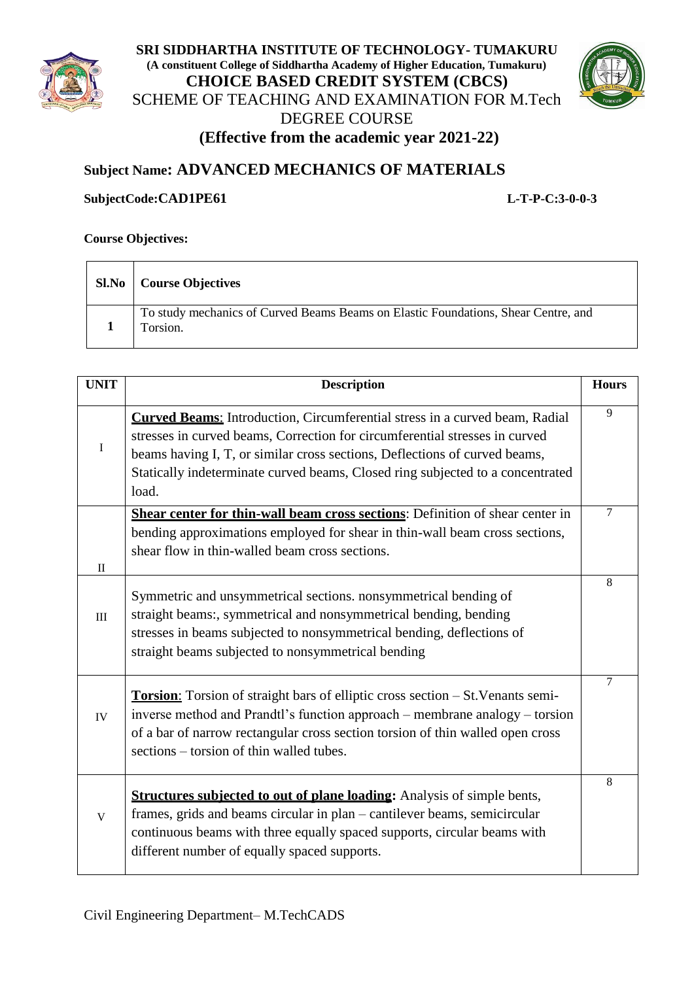



# **Subject Name: ADVANCED MECHANICS OF MATERIALS**

### **SubjectCode:CAD1PE61 L-T-P-C:3-0-0-3**

### **Course Objectives:**

| <b>Sl.No</b>   Course Objectives                                                               |
|------------------------------------------------------------------------------------------------|
| To study mechanics of Curved Beams Beams on Elastic Foundations, Shear Centre, and<br>Torsion. |

| <b>UNIT</b>  | <b>Description</b>                                                                                                                                                                                                                                                                                                                         | <b>Hours</b> |
|--------------|--------------------------------------------------------------------------------------------------------------------------------------------------------------------------------------------------------------------------------------------------------------------------------------------------------------------------------------------|--------------|
| $\mathbf I$  | <b>Curved Beams:</b> Introduction, Circumferential stress in a curved beam, Radial<br>stresses in curved beams, Correction for circumferential stresses in curved<br>beams having I, T, or similar cross sections, Deflections of curved beams,<br>Statically indeterminate curved beams, Closed ring subjected to a concentrated<br>load. | 9            |
| $\mathbf{H}$ | Shear center for thin-wall beam cross sections: Definition of shear center in<br>bending approximations employed for shear in thin-wall beam cross sections,<br>shear flow in thin-walled beam cross sections.                                                                                                                             | $\tau$       |
| III          | Symmetric and unsymmetrical sections. nonsymmetrical bending of<br>straight beams:, symmetrical and nonsymmetrical bending, bending<br>stresses in beams subjected to nonsymmetrical bending, deflections of<br>straight beams subjected to nonsymmetrical bending                                                                         | 8            |
| IV           | Torsion: Torsion of straight bars of elliptic cross section - St. Venants semi-<br>inverse method and Prandtl's function approach – membrane analogy – torsion<br>of a bar of narrow rectangular cross section torsion of thin walled open cross<br>sections – torsion of thin walled tubes.                                               | 7            |
| V            | <b>Structures subjected to out of plane loading:</b> Analysis of simple bents,<br>frames, grids and beams circular in plan – cantilever beams, semicircular<br>continuous beams with three equally spaced supports, circular beams with<br>different number of equally spaced supports.                                                    | 8            |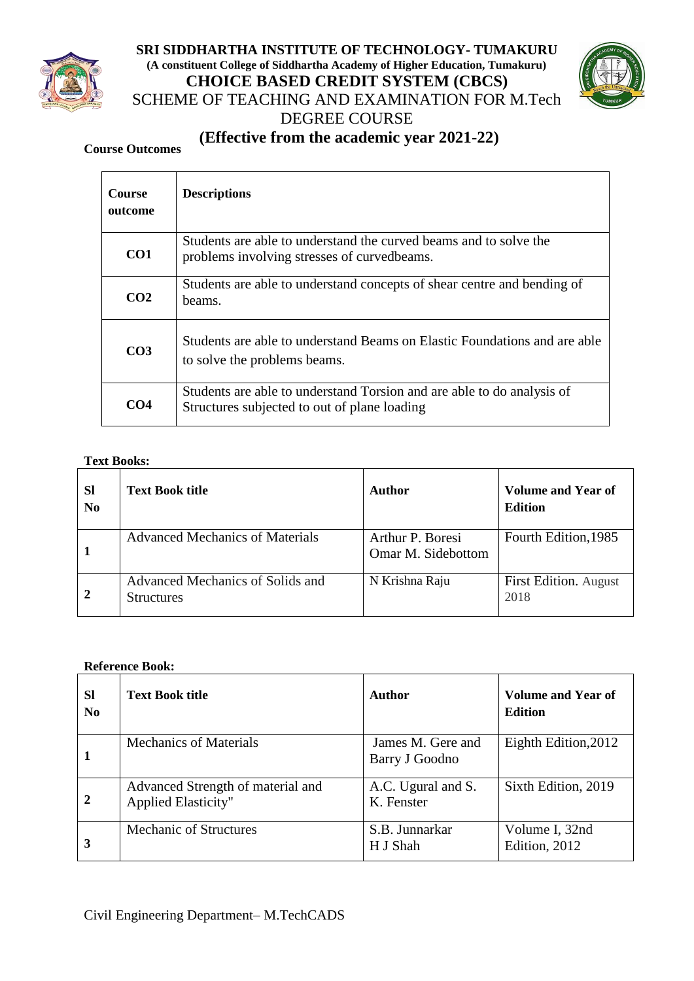



# **(Effective from the academic year 2021-22)**

### **Course Outcomes**

| <b>Course</b><br>outcome | <b>Descriptions</b>                                                                                                    |
|--------------------------|------------------------------------------------------------------------------------------------------------------------|
| CO <sub>1</sub>          | Students are able to understand the curved beams and to solve the<br>problems involving stresses of curved beams.      |
| CO <sub>2</sub>          | Students are able to understand concepts of shear centre and bending of<br>beams.                                      |
| CO <sub>3</sub>          | Students are able to understand Beams on Elastic Foundations and are able<br>to solve the problems beams.              |
| CO4                      | Students are able to understand Torsion and are able to do analysis of<br>Structures subjected to out of plane loading |

### **Text Books:**

| <b>Sl</b><br>N <sub>0</sub> | <b>Text Book title</b>                                | Author                                 | <b>Volume and Year of</b><br><b>Edition</b> |
|-----------------------------|-------------------------------------------------------|----------------------------------------|---------------------------------------------|
|                             | <b>Advanced Mechanics of Materials</b>                | Arthur P. Boresi<br>Omar M. Sidebottom | Fourth Edition, 1985                        |
|                             | Advanced Mechanics of Solids and<br><b>Structures</b> | N Krishna Raju                         | First Edition. August<br>2018               |

| <b>Sl</b><br>N <sub>0</sub> | <b>Text Book title</b>                                          | Author                              | <b>Volume and Year of</b><br><b>Edition</b> |
|-----------------------------|-----------------------------------------------------------------|-------------------------------------|---------------------------------------------|
|                             | <b>Mechanics of Materials</b>                                   | James M. Gere and<br>Barry J Goodno | Eighth Edition, 2012                        |
| $\mathbf{2}$                | Advanced Strength of material and<br><b>Applied Elasticity"</b> | A.C. Ugural and S.<br>K. Fenster    | Sixth Edition, 2019                         |
| 3                           | <b>Mechanic of Structures</b>                                   | S.B. Junnarkar<br>H J Shah          | Volume I, 32nd<br>Edition, 2012             |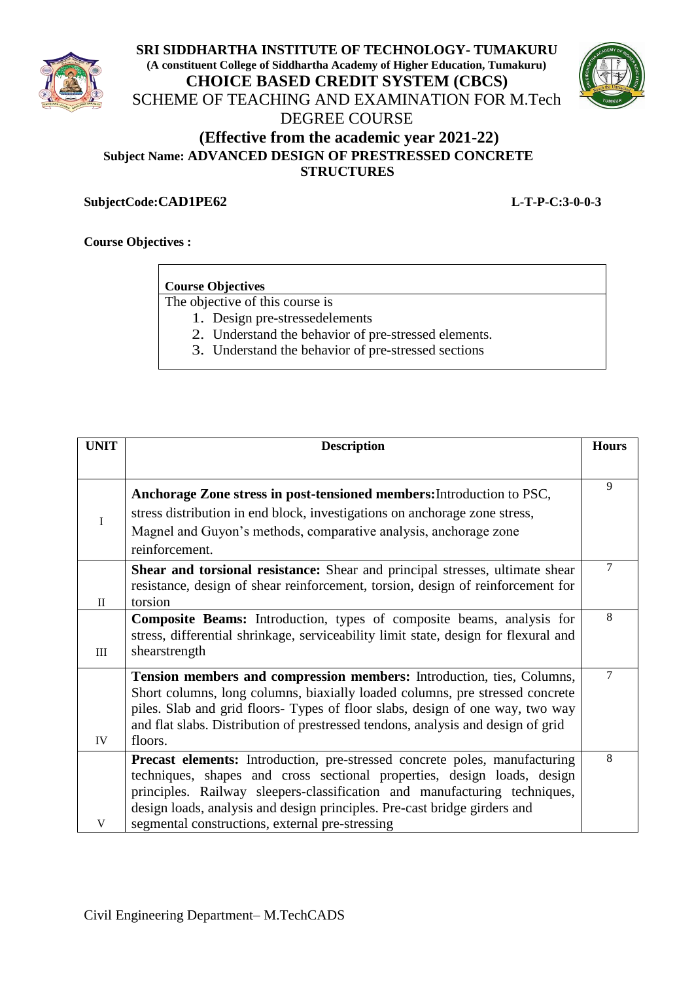



**SubjectCode:CAD1PE62 L-T-P-C:3-0-0-3**

**Course Objectives :**

**Course Objectives**

The objective of this course is

- 1. Design pre-stressedelements
- 2. Understand the behavior of pre-stressed elements.
- 3. Understand the behavior of pre-stressed sections

| <b>UNIT</b>  | <b>Description</b>                                                                  | <b>Hours</b> |
|--------------|-------------------------------------------------------------------------------------|--------------|
|              |                                                                                     |              |
|              | Anchorage Zone stress in post-tensioned members: Introduction to PSC,               | 9            |
| $\bf I$      | stress distribution in end block, investigations on anchorage zone stress,          |              |
|              | Magnel and Guyon's methods, comparative analysis, anchorage zone                    |              |
|              | reinforcement.                                                                      |              |
|              | Shear and torsional resistance: Shear and principal stresses, ultimate shear        | 7            |
|              | resistance, design of shear reinforcement, torsion, design of reinforcement for     |              |
| $\mathbf{I}$ | torsion                                                                             |              |
|              | <b>Composite Beams:</b> Introduction, types of composite beams, analysis for        | 8            |
|              | stress, differential shrinkage, serviceability limit state, design for flexural and |              |
| III          | shearstrength                                                                       |              |
|              | Tension members and compression members: Introduction, ties, Columns,               | 7            |
|              | Short columns, long columns, biaxially loaded columns, pre stressed concrete        |              |
|              | piles. Slab and grid floors- Types of floor slabs, design of one way, two way       |              |
|              | and flat slabs. Distribution of prestressed tendons, analysis and design of grid    |              |
| IV           | floors.                                                                             |              |
|              | <b>Precast elements:</b> Introduction, pre-stressed concrete poles, manufacturing   | 8            |
|              | techniques, shapes and cross sectional properties, design loads, design             |              |
|              | principles. Railway sleepers-classification and manufacturing techniques,           |              |
|              | design loads, analysis and design principles. Pre-cast bridge girders and           |              |
| V            | segmental constructions, external pre-stressing                                     |              |

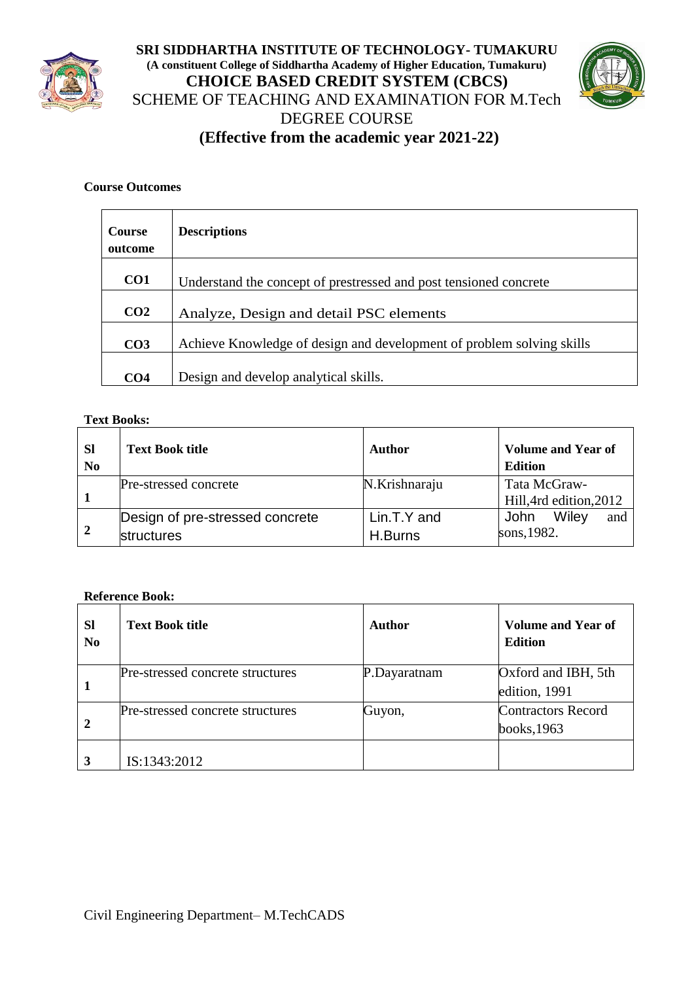



### **Course Outcomes**

| <b>Course</b><br>outcome | <b>Descriptions</b>                                                   |
|--------------------------|-----------------------------------------------------------------------|
| CO <sub>1</sub>          | Understand the concept of prestressed and post tensioned concrete     |
| CO <sub>2</sub>          | Analyze, Design and detail PSC elements                               |
| CO <sub>3</sub>          | Achieve Knowledge of design and development of problem solving skills |
| CO <sub>4</sub>          | Design and develop analytical skills.                                 |

### **Text Books:**

| <b>SI</b><br>N <sub>0</sub> | <b>Text Book title</b>          | Author        | <b>Volume and Year of</b><br><b>Edition</b> |
|-----------------------------|---------------------------------|---------------|---------------------------------------------|
|                             | Pre-stressed concrete           | N.Krishnaraju | Tata McGraw-                                |
|                             |                                 |               | Hill, 4rd edition, 2012                     |
|                             | Design of pre-stressed concrete | Lin.T.Y and   | Wilev<br>John<br>and                        |
| $\overline{2}$              | <b>structures</b>               | H.Burns       | sons, 1982.                                 |

| <b>Sl</b><br>N <sub>0</sub> | <b>Text Book title</b>           | Author       | <b>Volume and Year of</b><br><b>Edition</b> |
|-----------------------------|----------------------------------|--------------|---------------------------------------------|
|                             | Pre-stressed concrete structures | P.Dayaratnam | Oxford and IBH, 5th<br>edition, 1991        |
| $\overline{2}$              | Pre-stressed concrete structures | Guyon,       | <b>Contractors Record</b><br>books, $1963$  |
| 3                           | IS:1343:2012                     |              |                                             |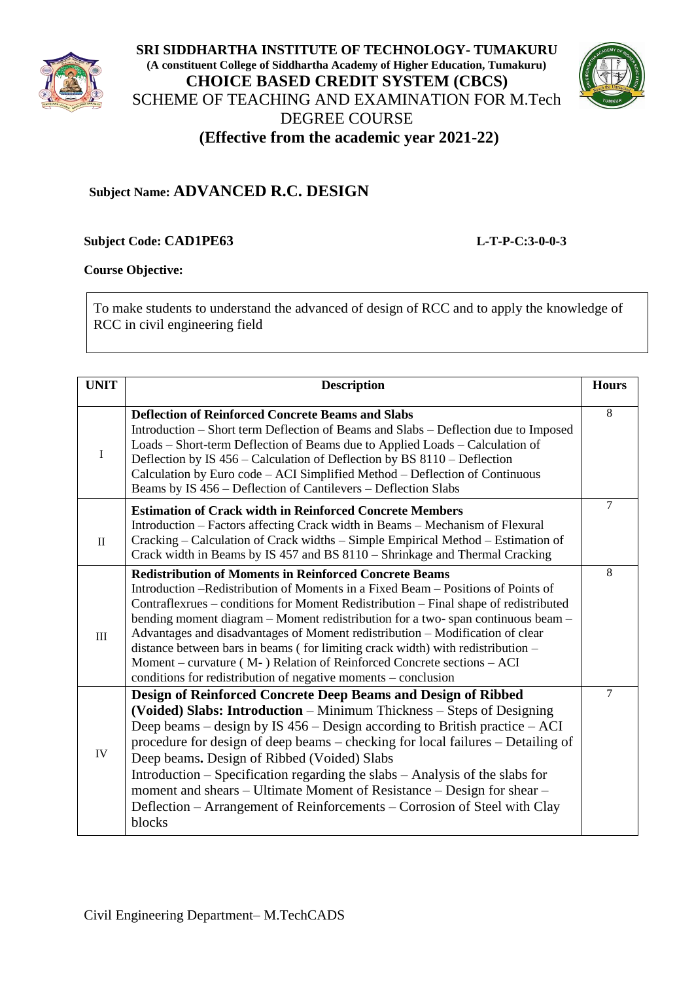



# **Subject Name: ADVANCED R.C. DESIGN**

### **Subject Code: CAD1PE63 L-T-P-C:3-0-0-3**

**Course Objective:**

To make students to understand the advanced of design of RCC and to apply the knowledge of RCC in civil engineering field

| <b>UNIT</b>  | <b>Description</b>                                                                                                                                                                                                                                                                                                                                                                                                                                                                                                                                                                                                                           | <b>Hours</b> |
|--------------|----------------------------------------------------------------------------------------------------------------------------------------------------------------------------------------------------------------------------------------------------------------------------------------------------------------------------------------------------------------------------------------------------------------------------------------------------------------------------------------------------------------------------------------------------------------------------------------------------------------------------------------------|--------------|
| $\bf I$      | <b>Deflection of Reinforced Concrete Beams and Slabs</b><br>Introduction – Short term Deflection of Beams and Slabs – Deflection due to Imposed<br>Loads – Short-term Deflection of Beams due to Applied Loads – Calculation of<br>Deflection by IS 456 – Calculation of Deflection by BS 8110 – Deflection<br>Calculation by Euro code - ACI Simplified Method - Deflection of Continuous<br>Beams by IS 456 – Deflection of Cantilevers – Deflection Slabs                                                                                                                                                                                 | 8            |
| $\mathbf{H}$ | <b>Estimation of Crack width in Reinforced Concrete Members</b><br>Introduction – Factors affecting Crack width in Beams – Mechanism of Flexural<br>Cracking – Calculation of Crack widths – Simple Empirical Method – Estimation of<br>Crack width in Beams by IS 457 and BS 8110 - Shrinkage and Thermal Cracking                                                                                                                                                                                                                                                                                                                          | $\tau$       |
| III          | <b>Redistribution of Moments in Reinforced Concrete Beams</b><br>Introduction –Redistribution of Moments in a Fixed Beam – Positions of Points of<br>Contraflexrues – conditions for Moment Redistribution – Final shape of redistributed<br>bending moment diagram - Moment redistribution for a two-span continuous beam -<br>Advantages and disadvantages of Moment redistribution - Modification of clear<br>distance between bars in beams (for limiting crack width) with redistribution -<br>Moment – curvature (M-) Relation of Reinforced Concrete sections – ACI<br>conditions for redistribution of negative moments - conclusion | 8            |
| IV           | Design of Reinforced Concrete Deep Beams and Design of Ribbed<br>(Voided) Slabs: Introduction – Minimum Thickness – Steps of Designing<br>Deep beams – design by IS $456$ – Design according to British practice – ACI<br>procedure for design of deep beams – checking for local failures – Detailing of<br>Deep beams. Design of Ribbed (Voided) Slabs<br>Introduction $-$ Specification regarding the slabs $-$ Analysis of the slabs for<br>moment and shears – Ultimate Moment of Resistance – Design for shear –<br>Deflection – Arrangement of Reinforcements – Corrosion of Steel with Clay<br>blocks                                | $\tau$       |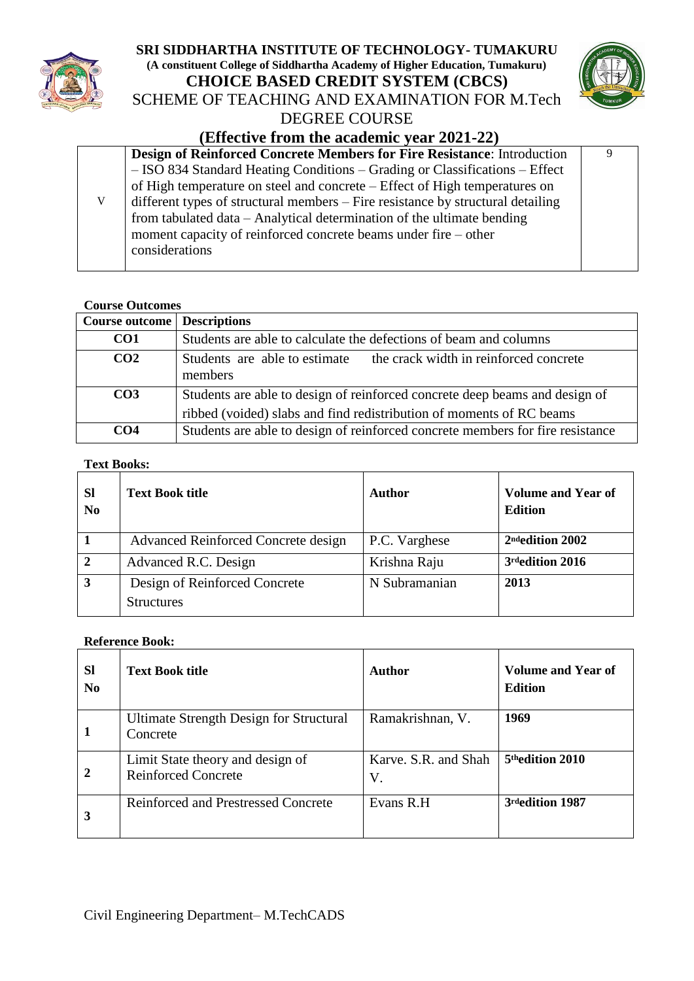



# **(Effective from the academic year 2021-22)**

|   | Design of Reinforced Concrete Members for Fire Resistance: Introduction         | Q |
|---|---------------------------------------------------------------------------------|---|
|   | - ISO 834 Standard Heating Conditions - Grading or Classifications - Effect     |   |
|   | of High temperature on steel and concrete – Effect of High temperatures on      |   |
| V | different types of structural members – Fire resistance by structural detailing |   |
|   | from tabulated data – Analytical determination of the ultimate bending          |   |
|   | moment capacity of reinforced concrete beams under fire – other                 |   |
|   | considerations                                                                  |   |
|   |                                                                                 |   |

### **Course Outcomes**

| <b>Course outcome</b> Descriptions |                                                                                                                                                     |  |
|------------------------------------|-----------------------------------------------------------------------------------------------------------------------------------------------------|--|
| CO <sub>1</sub>                    | Students are able to calculate the defections of beam and columns                                                                                   |  |
| CO <sub>2</sub>                    | the crack width in reinforced concrete<br>Students are able to estimate<br>members                                                                  |  |
| CO <sub>3</sub>                    | Students are able to design of reinforced concrete deep beams and design of<br>ribbed (voided) slabs and find redistribution of moments of RC beams |  |
| CO <sub>4</sub>                    | Students are able to design of reinforced concrete members for fire resistance                                                                      |  |

### **Text Books:**

| <b>Sl</b><br>N <sub>0</sub> | <b>Text Book title</b>                             | Author        | <b>Volume and Year of</b><br><b>Edition</b> |
|-----------------------------|----------------------------------------------------|---------------|---------------------------------------------|
|                             | Advanced Reinforced Concrete design                | P.C. Varghese | 2 <sup>nd</sup> edition 2002                |
| $\overline{2}$              | Advanced R.C. Design                               | Krishna Raju  | 3rdedition 2016                             |
| $\overline{3}$              | Design of Reinforced Concrete<br><b>Structures</b> | N Subramanian | 2013                                        |

| <b>Sl</b><br>No | <b>Text Book title</b>                                         | Author                     | <b>Volume and Year of</b><br><b>Edition</b> |
|-----------------|----------------------------------------------------------------|----------------------------|---------------------------------------------|
|                 | Ultimate Strength Design for Structural<br>Concrete            | Ramakrishnan, V.           | 1969                                        |
| 2               | Limit State theory and design of<br><b>Reinforced Concrete</b> | Karve. S.R. and Shah<br>V. | 5thedition 2010                             |
| 3               | <b>Reinforced and Prestressed Concrete</b>                     | Evans R.H                  | 3rdedition 1987                             |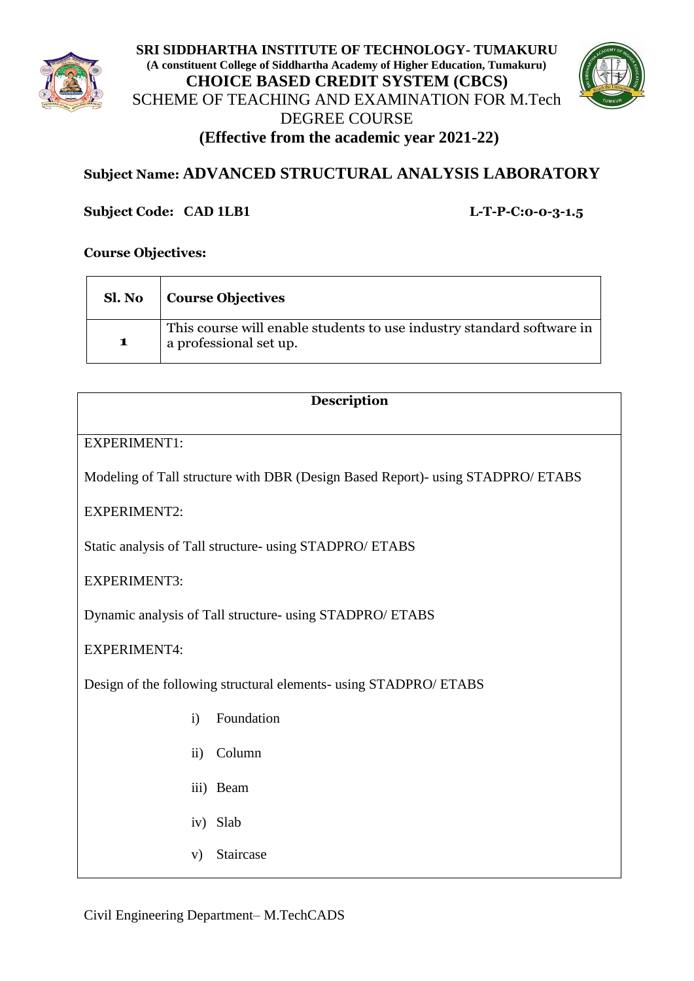



# **Subject Name: ADVANCED STRUCTURAL ANALYSIS LABORATORY**

## **Subject Code: CAD 1LB1 L-T-P-C:0-0-3-1.5**

### **Course Objectives:**

| Sl. No      | <b>Course Objectives</b>                                                                        |  |
|-------------|-------------------------------------------------------------------------------------------------|--|
| $\mathbf 1$ | This course will enable students to use industry standard software in<br>a professional set up. |  |

### **Description**

### EXPERIMENT1:

Modeling of Tall structure with DBR (Design Based Report)- using STADPRO/ ETABS

EXPERIMENT2:

Static analysis of Tall structure- using STADPRO/ ETABS

EXPERIMENT3:

Dynamic analysis of Tall structure- using STADPRO/ ETABS

EXPERIMENT4:

Design of the following structural elements- using STADPRO/ ETABS

- i) Foundation
- ii) Column
- iii) Beam
- iv) Slab
- v) Staircase

Civil Engineering Department– M.TechCADS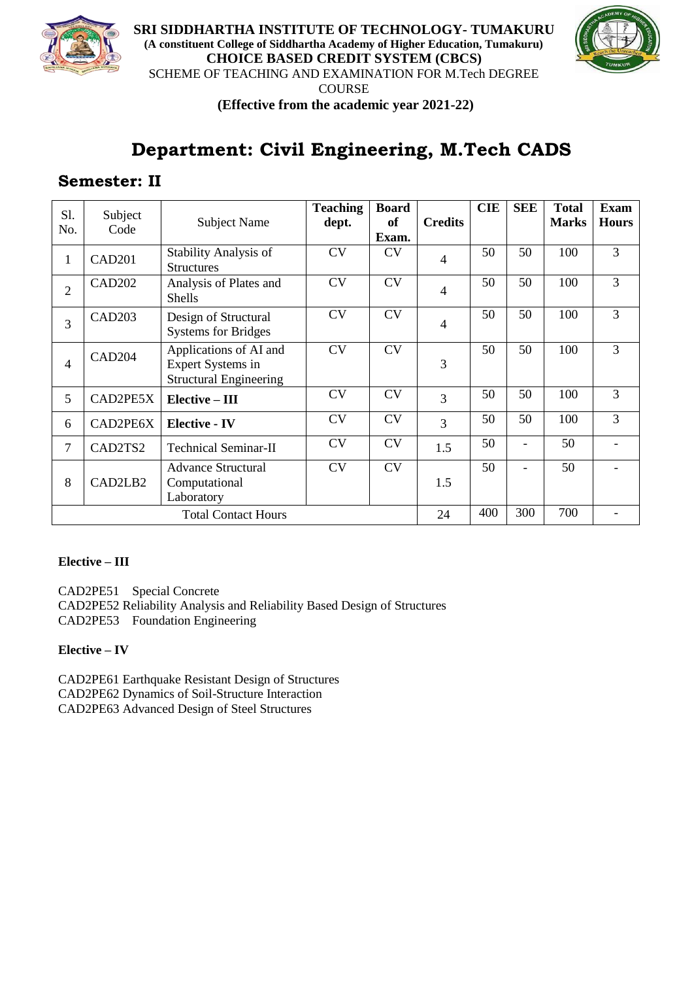



**Department: Civil Engineering, M.Tech CADS**

# **Semester: II**

| S1.<br>No.     | Subject<br>Code    | <b>Subject Name</b>                                                          | <b>Teaching</b><br>dept. | <b>Board</b><br>of<br>Exam. | <b>Credits</b> | <b>CIE</b> | <b>SEE</b>               | <b>Total</b><br><b>Marks</b> | <b>Exam</b><br><b>Hours</b> |
|----------------|--------------------|------------------------------------------------------------------------------|--------------------------|-----------------------------|----------------|------------|--------------------------|------------------------------|-----------------------------|
| 1              | CAD <sub>201</sub> | Stability Analysis of<br><b>Structures</b>                                   | CV                       | <b>CV</b>                   | 4              | 50         | 50                       | 100                          | $\overline{3}$              |
| $\overline{2}$ | CAD <sub>202</sub> | Analysis of Plates and<br><b>Shells</b>                                      | <b>CV</b>                | <b>CV</b>                   | $\overline{4}$ | 50         | 50                       | 100                          | 3                           |
| 3              | CAD203             | Design of Structural<br><b>Systems for Bridges</b>                           | CV                       | <b>CV</b>                   | $\overline{4}$ | 50         | 50                       | 100                          | 3                           |
| 4              | <b>CAD204</b>      | Applications of AI and<br>Expert Systems in<br><b>Structural Engineering</b> | CV                       | <b>CV</b>                   | 3              | 50         | 50                       | 100                          | 3                           |
| 5              | CAD2PE5X           | $Elective - III$                                                             | <b>CV</b>                | CV                          | 3              | 50         | 50                       | 100                          | 3                           |
| 6              | CAD2PE6X           | <b>Elective - IV</b>                                                         | <b>CV</b>                | <b>CV</b>                   | 3              | 50         | 50                       | 100                          | 3                           |
| $\overline{7}$ | CAD2TS2            | <b>Technical Seminar-II</b>                                                  | <b>CV</b>                | <b>CV</b>                   | 1.5            | 50         | $\overline{\phantom{0}}$ | 50                           |                             |
| 8              | CAD2LB2            | <b>Advance Structural</b><br>Computational<br>Laboratory                     | <b>CV</b>                | CV                          | 1.5            | 50         |                          | 50                           |                             |
|                |                    | <b>Total Contact Hours</b>                                                   |                          |                             | 24             | 400        | 300                      | 700                          |                             |

### **Elective – III**

CAD2PE51 Special Concrete CAD2PE52 Reliability Analysis and Reliability Based Design of Structures CAD2PE53 Foundation Engineering

### **Elective – IV**

CAD2PE61 Earthquake Resistant Design of Structures CAD2PE62 Dynamics of Soil-Structure Interaction CAD2PE63 Advanced Design of Steel Structures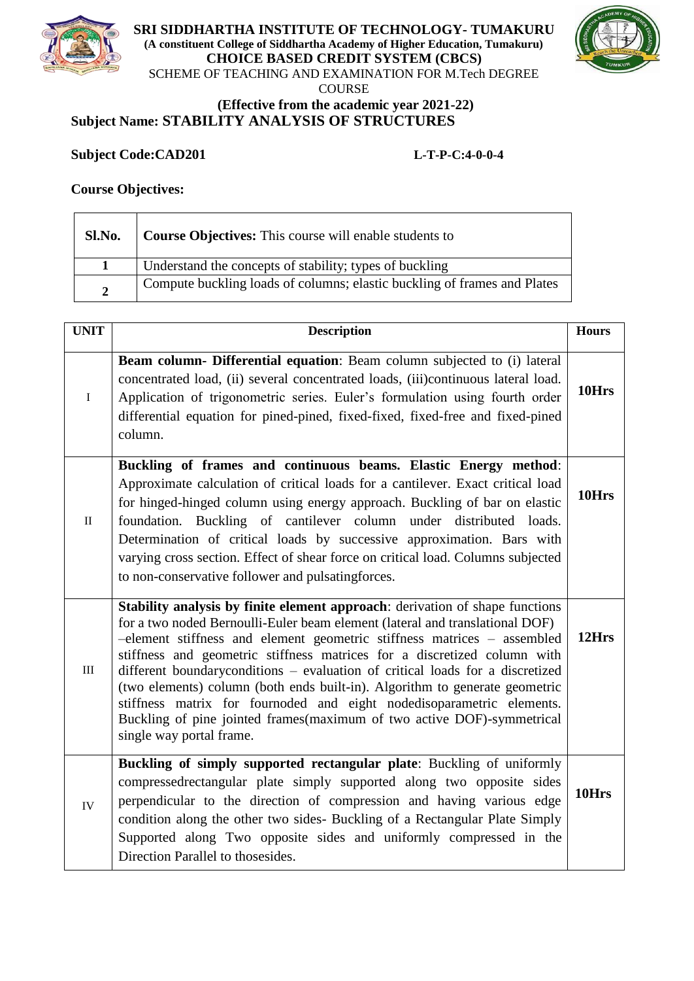



**COURSE** 

## **(Effective from the academic year 2021-22) Subject Name: STABILITY ANALYSIS OF STRUCTURES**

## **Subject Code:CAD201 L-T-P-C:4-0-0-4**

### **Course Objectives:**

| Sl.No.         | <b>Course Objectives:</b> This course will enable students to            |
|----------------|--------------------------------------------------------------------------|
|                | Understand the concepts of stability; types of buckling                  |
| $\overline{2}$ | Compute buckling loads of columns; elastic buckling of frames and Plates |

| <b>UNIT</b> | <b>Description</b>                                                                                                                                                                                                                                                                                                                                                                                                                                                                                                                                                                                                                                                     | <b>Hours</b> |
|-------------|------------------------------------------------------------------------------------------------------------------------------------------------------------------------------------------------------------------------------------------------------------------------------------------------------------------------------------------------------------------------------------------------------------------------------------------------------------------------------------------------------------------------------------------------------------------------------------------------------------------------------------------------------------------------|--------------|
| $\mathbf I$ | Beam column- Differential equation: Beam column subjected to (i) lateral<br>concentrated load, (ii) several concentrated loads, (iii)continuous lateral load.<br>Application of trigonometric series. Euler's formulation using fourth order<br>differential equation for pined-pined, fixed-fixed, fixed-free and fixed-pined<br>column.                                                                                                                                                                                                                                                                                                                              | 10Hrs        |
| $\rm II$    | Buckling of frames and continuous beams. Elastic Energy method:<br>Approximate calculation of critical loads for a cantilever. Exact critical load<br>for hinged-hinged column using energy approach. Buckling of bar on elastic<br>foundation. Buckling of cantilever column under distributed loads.<br>Determination of critical loads by successive approximation. Bars with<br>varying cross section. Effect of shear force on critical load. Columns subjected<br>to non-conservative follower and pulsatingforces.                                                                                                                                              | 10Hrs        |
| $\rm III$   | Stability analysis by finite element approach: derivation of shape functions<br>for a two noded Bernoulli-Euler beam element (lateral and translational DOF)<br>-element stiffness and element geometric stiffness matrices - assembled<br>stiffness and geometric stiffness matrices for a discretized column with<br>different boundary<br>conditions - evaluation of critical loads for a discretized<br>(two elements) column (both ends built-in). Algorithm to generate geometric<br>stiffness matrix for fournoded and eight nodedisoparametric elements.<br>Buckling of pine jointed frames(maximum of two active DOF)-symmetrical<br>single way portal frame. | 12Hrs        |
| IV          | Buckling of simply supported rectangular plate: Buckling of uniformly<br>compressed rectangular plate simply supported along two opposite sides<br>perpendicular to the direction of compression and having various edge<br>condition along the other two sides- Buckling of a Rectangular Plate Simply<br>Supported along Two opposite sides and uniformly compressed in the<br>Direction Parallel to thosesides.                                                                                                                                                                                                                                                     | 10Hrs        |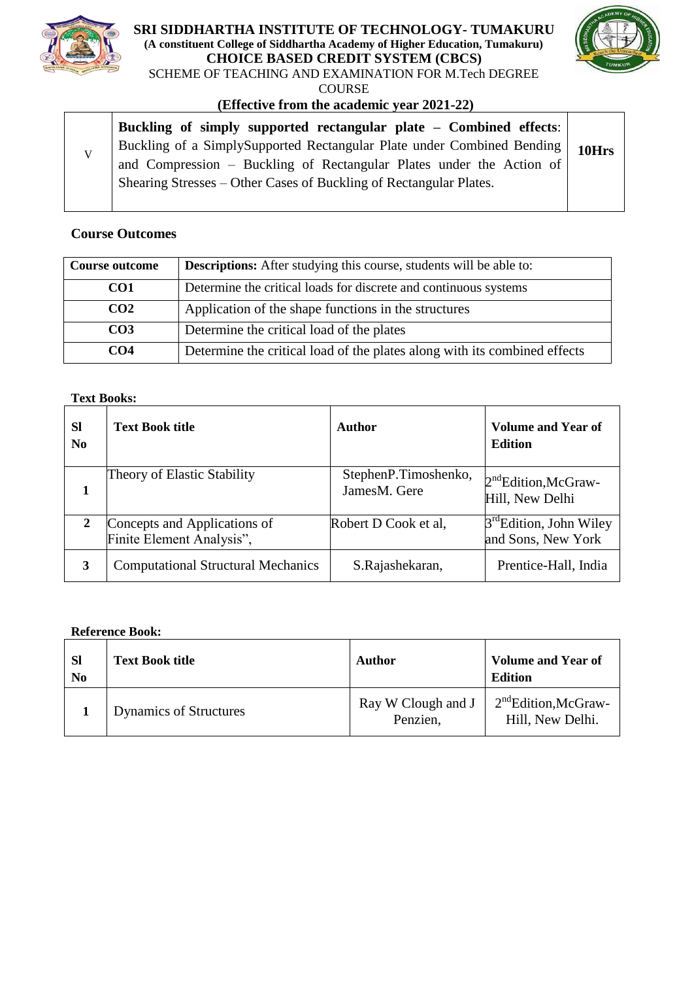

### **SRI SIDDHARTHA INSTITUTE OF TECHNOLOGY- TUMAKURU (A constituent College of Siddhartha Academy of Higher Education, Tumakuru) CHOICE BASED CREDIT SYSTEM (CBCS)**



SCHEME OF TEACHING AND EXAMINATION FOR M.Tech DEGREE

**COURSE** 

### **(Effective from the academic year 2021-22)**

|  | Buckling of simply supported rectangular plate – Combined effects:     |       |
|--|------------------------------------------------------------------------|-------|
|  | Buckling of a SimplySupported Rectangular Plate under Combined Bending | 10Hrs |
|  | and Compression – Buckling of Rectangular Plates under the Action of   |       |
|  | Shearing Stresses – Other Cases of Buckling of Rectangular Plates.     |       |
|  |                                                                        |       |

### **Course Outcomes**

| <b>Course outcome</b> | <b>Descriptions:</b> After studying this course, students will be able to: |
|-----------------------|----------------------------------------------------------------------------|
| CO <sub>1</sub>       | Determine the critical loads for discrete and continuous systems           |
| CO <sub>2</sub>       | Application of the shape functions in the structures                       |
| CO <sub>3</sub>       | Determine the critical load of the plates                                  |
| CO <sub>4</sub>       | Determine the critical load of the plates along with its combined effects  |

### **Text Books:**

| <b>Sl</b><br>$\bf No$ | <b>Text Book title</b>                                    | Author                               | <b>Volume and Year of</b><br><b>Edition</b>               |
|-----------------------|-----------------------------------------------------------|--------------------------------------|-----------------------------------------------------------|
|                       | Theory of Elastic Stability                               | StephenP.Timoshenko,<br>JamesM. Gere | 2 <sup>nd</sup> Edition, McGraw-<br>Hill, New Delhi       |
|                       | Concepts and Applications of<br>Finite Element Analysis", | Robert D Cook et al,                 | 3 <sup>rd</sup> Edition, John Wiley<br>and Sons, New York |
| 3                     | <b>Computational Structural Mechanics</b>                 | S.Rajashekaran,                      | Prentice-Hall, India                                      |

| <b>SI</b><br>N <sub>0</sub> | <b>Text Book title</b>        | Author                         | <b>Volume and Year of</b><br><b>Edition</b>         |
|-----------------------------|-------------------------------|--------------------------------|-----------------------------------------------------|
|                             | <b>Dynamics of Structures</b> | Ray W Clough and J<br>Penzien. | 2 <sup>nd</sup> Edition,McGraw-<br>Hill, New Delhi. |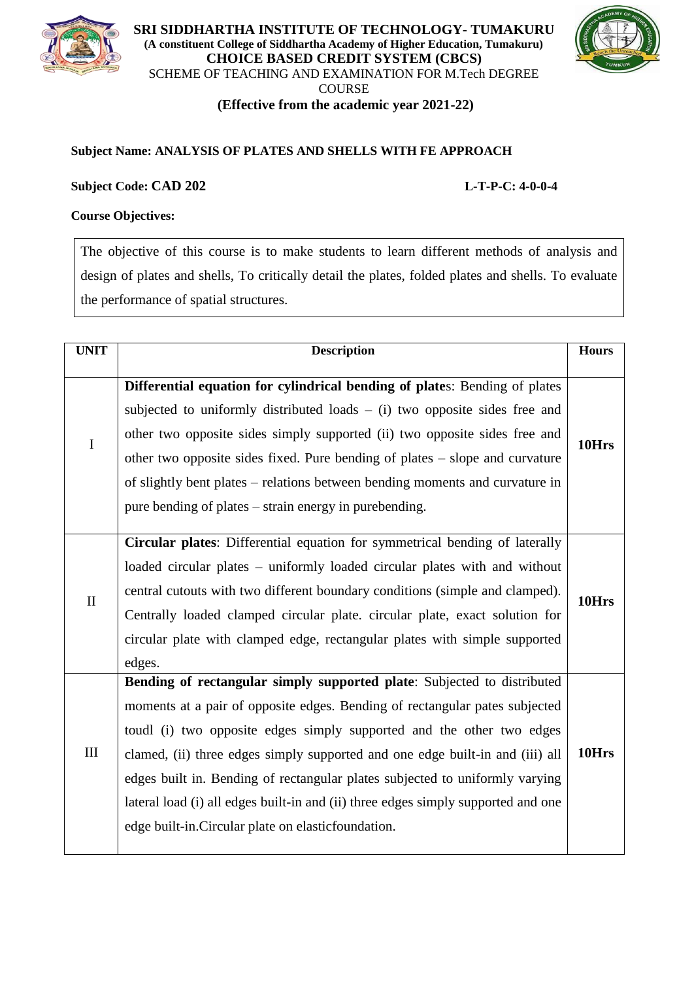



### **Subject Name: ANALYSIS OF PLATES AND SHELLS WITH FE APPROACH**

### **Subject Code: CAD 202 L-T-P-C: 4-0-0-4**

### **Course Objectives:**

The objective of this course is to make students to learn different methods of analysis and design of plates and shells, To critically detail the plates, folded plates and shells. To evaluate the performance of spatial structures.

| <b>UNIT</b>  | <b>Description</b>                                                                                                                                                                                                                                                                                                                                                                                                                                                                                                                            | <b>Hours</b> |
|--------------|-----------------------------------------------------------------------------------------------------------------------------------------------------------------------------------------------------------------------------------------------------------------------------------------------------------------------------------------------------------------------------------------------------------------------------------------------------------------------------------------------------------------------------------------------|--------------|
| $\mathbf I$  | Differential equation for cylindrical bending of plates: Bending of plates<br>subjected to uniformly distributed loads $-$ (i) two opposite sides free and<br>other two opposite sides simply supported (ii) two opposite sides free and<br>other two opposite sides fixed. Pure bending of plates – slope and curvature<br>of slightly bent plates – relations between bending moments and curvature in<br>pure bending of plates – strain energy in purebending.                                                                            |              |
| $\mathbf{I}$ | Circular plates: Differential equation for symmetrical bending of laterally<br>loaded circular plates – uniformly loaded circular plates with and without<br>central cutouts with two different boundary conditions (simple and clamped).<br>Centrally loaded clamped circular plate. circular plate, exact solution for<br>circular plate with clamped edge, rectangular plates with simple supported<br>edges.                                                                                                                              |              |
| $\rm III$    | Bending of rectangular simply supported plate: Subjected to distributed<br>moments at a pair of opposite edges. Bending of rectangular pates subjected<br>toudl (i) two opposite edges simply supported and the other two edges<br>clamed, (ii) three edges simply supported and one edge built-in and (iii) all<br>edges built in. Bending of rectangular plates subjected to uniformly varying<br>lateral load (i) all edges built-in and (ii) three edges simply supported and one<br>edge built-in. Circular plate on elastic foundation. | 10Hrs        |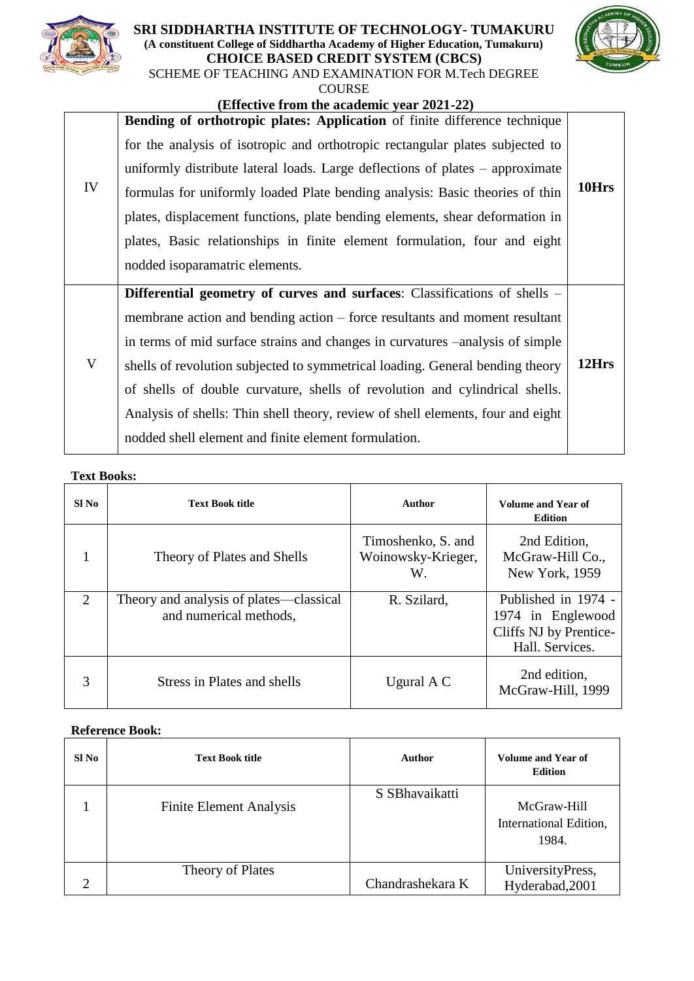

### **SRI SIDDHARTHA INSTITUTE OF TECHNOLOGY- TUMAKURU (A constituent College of Siddhartha Academy of Higher Education, Tumakuru) CHOICE BASED CREDIT SYSTEM (CBCS)**



SCHEME OF TEACHING AND EXAMINATION FOR M.Tech DEGREE

**COURSE** 

# **(Effective from the academic year 2021-22)**

|    | Bending of orthotropic plates: Application of finite difference technique       |       |
|----|---------------------------------------------------------------------------------|-------|
|    | for the analysis of isotropic and orthotropic rectangular plates subjected to   |       |
|    | uniformly distribute lateral loads. Large deflections of plates – approximate   |       |
| IV | formulas for uniformly loaded Plate bending analysis: Basic theories of thin    | 10Hrs |
|    | plates, displacement functions, plate bending elements, shear deformation in    |       |
|    | plates, Basic relationships in finite element formulation, four and eight       |       |
|    | nodded isoparamatric elements.                                                  |       |
|    | Differential geometry of curves and surfaces: Classifications of shells –       |       |
|    |                                                                                 |       |
|    | membrane action and bending action – force resultants and moment resultant      |       |
|    | in terms of mid surface strains and changes in curvatures –analysis of simple   |       |
| V  | shells of revolution subjected to symmetrical loading. General bending theory   | 12Hrs |
|    | of shells of double curvature, shells of revolution and cylindrical shells.     |       |
|    | Analysis of shells: Thin shell theory, review of shell elements, four and eight |       |

### **Text Books:**

| Sl No         | <b>Text Book title</b>                                            | Author                                         | Volume and Year of<br><b>Edition</b>                                                  |
|---------------|-------------------------------------------------------------------|------------------------------------------------|---------------------------------------------------------------------------------------|
|               | Theory of Plates and Shells                                       | Timoshenko, S. and<br>Woinowsky-Krieger,<br>W. | 2nd Edition,<br>McGraw-Hill Co.,<br>New York, 1959                                    |
| 2             | Theory and analysis of plates—classical<br>and numerical methods, | R. Szilard,                                    | Published in 1974 -<br>1974 in Englewood<br>Cliffs NJ by Prentice-<br>Hall. Services. |
| $\mathcal{R}$ | <b>Stress in Plates and shells</b>                                | Ugural $\overline{A}$ C                        | 2nd edition,<br>McGraw-Hill, 1999                                                     |

| $SI$ No | <b>Text Book title</b>         | Author           | Volume and Year of<br><b>Edition</b>           |
|---------|--------------------------------|------------------|------------------------------------------------|
|         | <b>Finite Element Analysis</b> | S SBhavaikatti   | McGraw-Hill<br>International Edition,<br>1984. |
|         | Theory of Plates               | Chandrashekara K | UniversityPress,<br>Hyderabad, 2001            |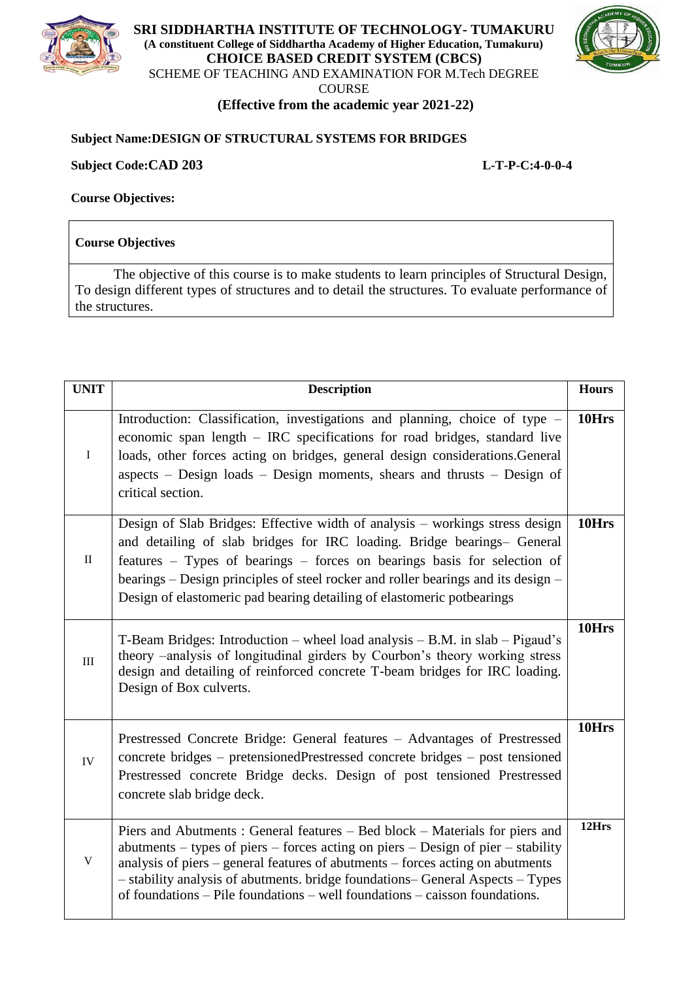



**COURSE** 

# **(Effective from the academic year 2021-22)**

### **Subject Name:DESIGN OF STRUCTURAL SYSTEMS FOR BRIDGES**

**Subject Code:CAD 203 L-T-P-C:4-0-0-4**

**Course Objectives:**

### **Course Objectives**

The objective of this course is to make students to learn principles of Structural Design, To design different types of structures and to detail the structures. To evaluate performance of the structures.

| <b>UNIT</b>  | <b>Description</b>                                                                                                                                                                                                                                                                                                                                                                                                  | <b>Hours</b> |
|--------------|---------------------------------------------------------------------------------------------------------------------------------------------------------------------------------------------------------------------------------------------------------------------------------------------------------------------------------------------------------------------------------------------------------------------|--------------|
| $\rm I$      | Introduction: Classification, investigations and planning, choice of type -<br>economic span length - IRC specifications for road bridges, standard live<br>loads, other forces acting on bridges, general design considerations. General<br>aspects – Design loads – Design moments, shears and thrusts – Design of<br>critical section.                                                                           | 10Hrs        |
| $\mathbf{I}$ | Design of Slab Bridges: Effective width of analysis – workings stress design<br>and detailing of slab bridges for IRC loading. Bridge bearings- General<br>features – Types of bearings – forces on bearings basis for selection of<br>bearings - Design principles of steel rocker and roller bearings and its design -<br>Design of elastomeric pad bearing detailing of elastomeric potbearings                  | 10Hrs        |
| $\rm III$    | T-Beam Bridges: Introduction – wheel load analysis – B.M. in slab – Pigaud's<br>theory -analysis of longitudinal girders by Courbon's theory working stress<br>design and detailing of reinforced concrete T-beam bridges for IRC loading.<br>Design of Box culverts.                                                                                                                                               | 10Hrs        |
| IV           | Prestressed Concrete Bridge: General features - Advantages of Prestressed<br>concrete bridges – pretensionedPrestressed concrete bridges – post tensioned<br>Prestressed concrete Bridge decks. Design of post tensioned Prestressed<br>concrete slab bridge deck.                                                                                                                                                  | 10Hrs        |
| $\mathbf V$  | Piers and Abutments: General features – Bed block – Materials for piers and<br>$abutments - types of piers - forces acting on piers - Design of pier - stability$<br>analysis of piers – general features of abutments – forces acting on abutments<br>- stability analysis of abutments. bridge foundations-General Aspects - Types<br>of foundations – Pile foundations – well foundations – caisson foundations. | 12Hrs        |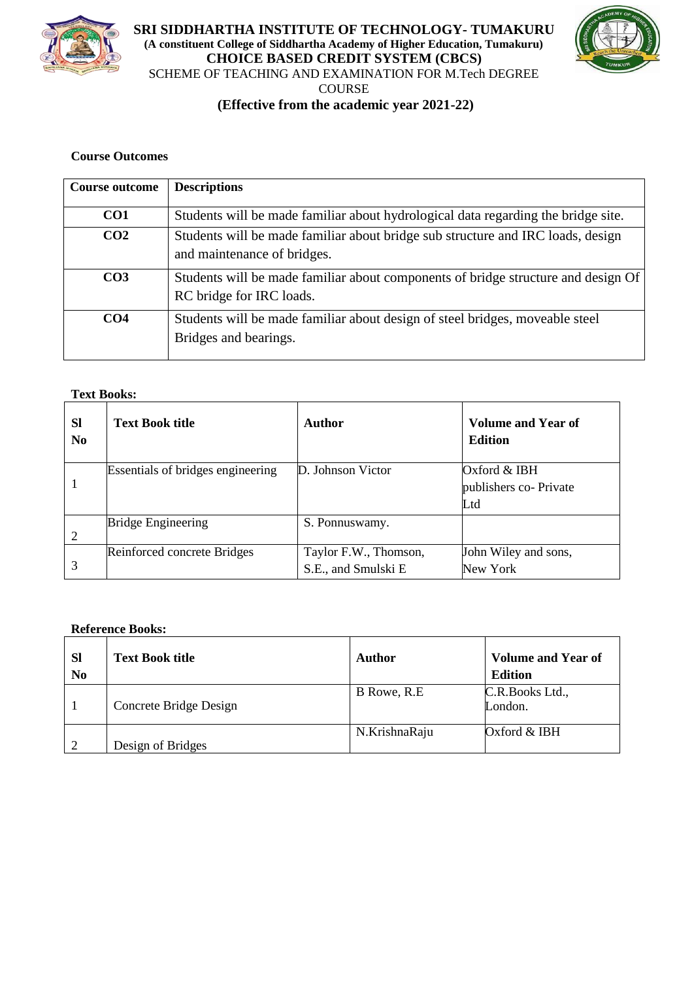



**(Effective from the academic year 2021-22)**

### **Course Outcomes**

| <b>Course outcome</b> | <b>Descriptions</b>                                                                                            |  |  |
|-----------------------|----------------------------------------------------------------------------------------------------------------|--|--|
|                       |                                                                                                                |  |  |
| CO <sub>1</sub>       | Students will be made familiar about hydrological data regarding the bridge site.                              |  |  |
| CO <sub>2</sub>       | Students will be made familiar about bridge sub structure and IRC loads, design<br>and maintenance of bridges. |  |  |
| CO <sub>3</sub>       | Students will be made familiar about components of bridge structure and design Of<br>RC bridge for IRC loads.  |  |  |
| CO <sub>4</sub>       | Students will be made familiar about design of steel bridges, moveable steel<br>Bridges and bearings.          |  |  |

### **Text Books:**

| <b>SI</b><br>N <sub>0</sub> | <b>Text Book title</b>            | Author                                       | Volume and Year of<br><b>Edition</b>          |
|-----------------------------|-----------------------------------|----------------------------------------------|-----------------------------------------------|
|                             | Essentials of bridges engineering | D. Johnson Victor                            | Oxford & IBH<br>publishers co- Private<br>Ltd |
|                             | <b>Bridge Engineering</b>         | S. Ponnuswamy.                               |                                               |
|                             | Reinforced concrete Bridges       | Taylor F.W., Thomson,<br>S.E., and Smulski E | John Wiley and sons,<br>New York              |

| <b>Sl</b><br>N <sub>0</sub> | <b>Text Book title</b> | Author        | <b>Volume and Year of</b><br><b>Edition</b> |
|-----------------------------|------------------------|---------------|---------------------------------------------|
|                             | Concrete Bridge Design | B Rowe, R.E.  | C.R.Books Ltd.,<br>London.                  |
| ⌒                           | Design of Bridges      | N.KrishnaRaju | Oxford & IBH                                |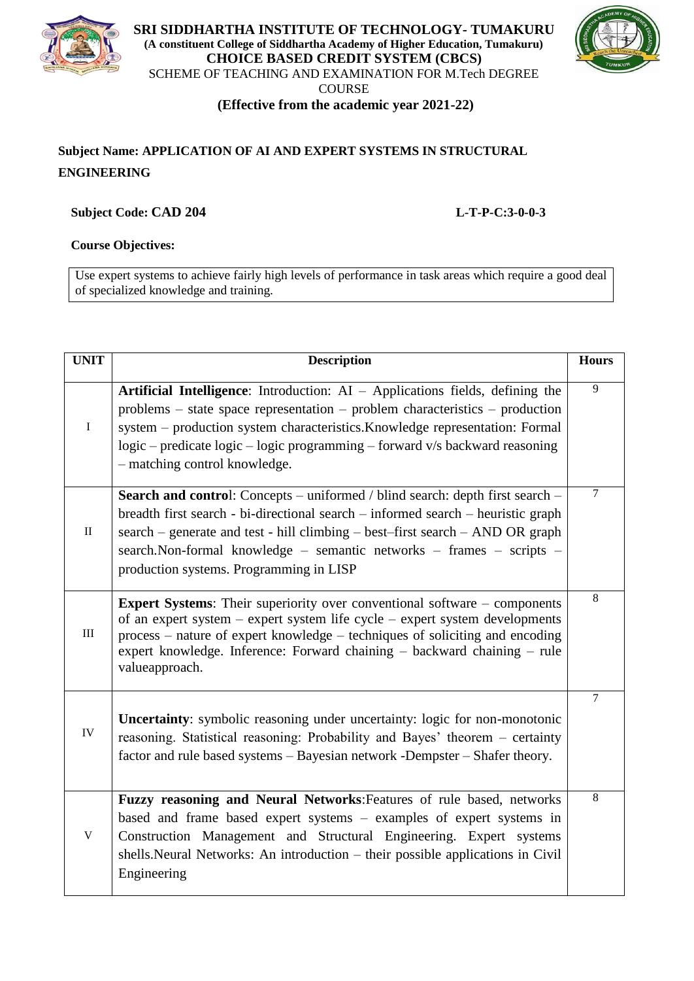



# **Subject Name: APPLICATION OF AI AND EXPERT SYSTEMS IN STRUCTURAL ENGINEERING**

### **Subject Code: CAD 204 L-T-P-C:3-0-0-3**

### **Course Objectives:**

Use expert systems to achieve fairly high levels of performance in task areas which require a good deal of specialized knowledge and training.

| <b>UNIT</b> | <b>Description</b>                                                                                                                                                                                                                                                                                                                                                         | <b>Hours</b>   |
|-------------|----------------------------------------------------------------------------------------------------------------------------------------------------------------------------------------------------------------------------------------------------------------------------------------------------------------------------------------------------------------------------|----------------|
| $\mathbf I$ | <b>Artificial Intelligence:</b> Introduction: $AI - Applications$ fields, defining the<br>problems – state space representation – problem characteristics – production<br>system - production system characteristics. Knowledge representation: Formal<br>logic – predicate logic – logic programming – forward v/s backward reasoning<br>- matching control knowledge.    | $\overline{9}$ |
| $\rm II$    | <b>Search and control:</b> Concepts – uniformed / blind search: depth first search –<br>breadth first search - bi-directional search – informed search – heuristic graph<br>search – generate and test - hill climbing – best–first search – AND OR graph<br>search.Non-formal knowledge – semantic networks – frames – scripts<br>production systems. Programming in LISP | $\tau$         |
| $\rm III$   | <b>Expert Systems:</b> Their superiority over conventional software – components<br>of an expert system $-$ expert system life cycle $-$ expert system developments<br>process – nature of expert knowledge – techniques of soliciting and encoding<br>expert knowledge. Inference: Forward chaining - backward chaining - rule<br>valueapproach.                          | 8              |
| IV          | <b>Uncertainty:</b> symbolic reasoning under uncertainty: logic for non-monotonic<br>reasoning. Statistical reasoning: Probability and Bayes' theorem – certainty<br>factor and rule based systems - Bayesian network - Dempster - Shafer theory.                                                                                                                          | $\tau$         |
| $\mathbf V$ | Fuzzy reasoning and Neural Networks: Features of rule based, networks<br>based and frame based expert systems – examples of expert systems in<br>Construction Management and Structural Engineering. Expert systems<br>shells. Neural Networks: An introduction – their possible applications in Civil<br>Engineering                                                      | 8              |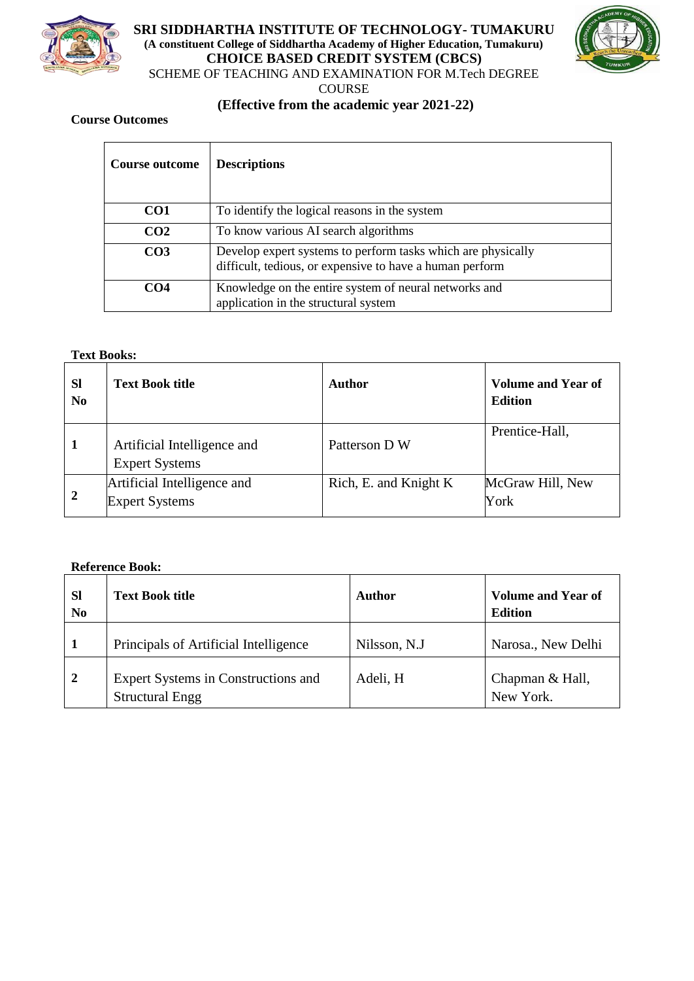



**COURSE** 

# **(Effective from the academic year 2021-22)**

### **Course Outcomes**

| Course outcome  | <b>Descriptions</b>                                                                                                      |  |
|-----------------|--------------------------------------------------------------------------------------------------------------------------|--|
| CO <sub>1</sub> | To identify the logical reasons in the system                                                                            |  |
| CO <sub>2</sub> | To know various AI search algorithms                                                                                     |  |
| CO <sub>3</sub> | Develop expert systems to perform tasks which are physically<br>difficult, tedious, or expensive to have a human perform |  |
| CO4             | Knowledge on the entire system of neural networks and<br>application in the structural system                            |  |

### **Text Books:**

| <b>Sl</b><br>N <sub>0</sub> | <b>Text Book title</b>                               | Author                 | <b>Volume and Year of</b><br><b>Edition</b> |
|-----------------------------|------------------------------------------------------|------------------------|---------------------------------------------|
|                             | Artificial Intelligence and<br><b>Expert Systems</b> | Patterson D W          | Prentice-Hall,                              |
| $\mathbf{2}$                | Artificial Intelligence and<br><b>Expert Systems</b> | Rich, E. and Knight K. | McGraw Hill, New<br>York                    |

| <b>Sl</b><br>N <sub>0</sub> | <b>Text Book title</b>                                        | Author       | <b>Volume and Year of</b><br><b>Edition</b> |
|-----------------------------|---------------------------------------------------------------|--------------|---------------------------------------------|
|                             | Principals of Artificial Intelligence                         | Nilsson, N.J | Narosa., New Delhi                          |
| $\mathbf{2}$                | Expert Systems in Constructions and<br><b>Structural Engg</b> | Adeli, H     | Chapman & Hall,<br>New York.                |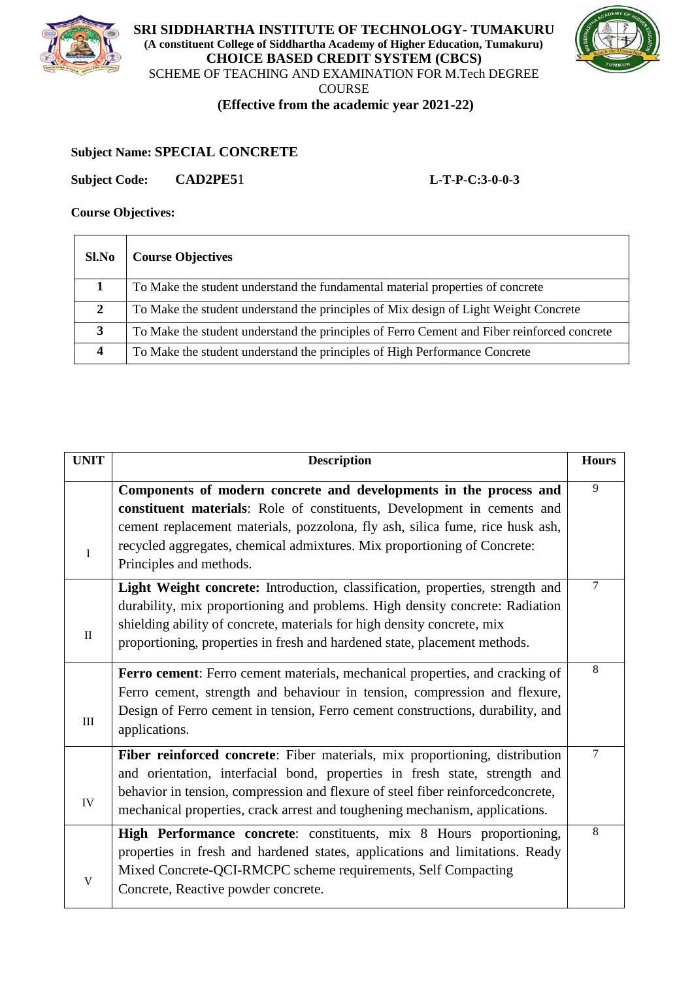



**Subject Name: SPECIAL CONCRETE**

**Subject Code: CAD2PE5**1 **L-T-P-C:3-0-0-3**

### **Course Objectives:**

| Sl.No        | <b>Course Objectives</b>                                                                    |
|--------------|---------------------------------------------------------------------------------------------|
|              | To Make the student understand the fundamental material properties of concrete              |
| $\mathbf{2}$ | To Make the student understand the principles of Mix design of Light Weight Concrete        |
| 3            | To Make the student understand the principles of Ferro Cement and Fiber reinforced concrete |
| 4            | To Make the student understand the principles of High Performance Concrete                  |

| <b>UNIT</b>  | <b>Description</b>                                                                                                                                                                                                                                                                                                                   | <b>Hours</b>    |
|--------------|--------------------------------------------------------------------------------------------------------------------------------------------------------------------------------------------------------------------------------------------------------------------------------------------------------------------------------------|-----------------|
| $\bf I$      | Components of modern concrete and developments in the process and<br>constituent materials: Role of constituents, Development in cements and<br>cement replacement materials, pozzolona, fly ash, silica fume, rice husk ash,<br>recycled aggregates, chemical admixtures. Mix proportioning of Concrete:<br>Principles and methods. | 9               |
| $\mathbf{I}$ | Light Weight concrete: Introduction, classification, properties, strength and<br>durability, mix proportioning and problems. High density concrete: Radiation<br>shielding ability of concrete, materials for high density concrete, mix<br>proportioning, properties in fresh and hardened state, placement methods.                | $7\phantom{.0}$ |
| $\rm III$    | Ferro cement: Ferro cement materials, mechanical properties, and cracking of<br>Ferro cement, strength and behaviour in tension, compression and flexure,<br>Design of Ferro cement in tension, Ferro cement constructions, durability, and<br>applications.                                                                         | 8               |
| IV           | Fiber reinforced concrete: Fiber materials, mix proportioning, distribution<br>and orientation, interfacial bond, properties in fresh state, strength and<br>behavior in tension, compression and flexure of steel fiber reinforced concrete,<br>mechanical properties, crack arrest and toughening mechanism, applications.         | $\overline{7}$  |
| V            | High Performance concrete: constituents, mix 8 Hours proportioning,<br>properties in fresh and hardened states, applications and limitations. Ready<br>Mixed Concrete-QCI-RMCPC scheme requirements, Self Compacting<br>Concrete, Reactive powder concrete.                                                                          | 8               |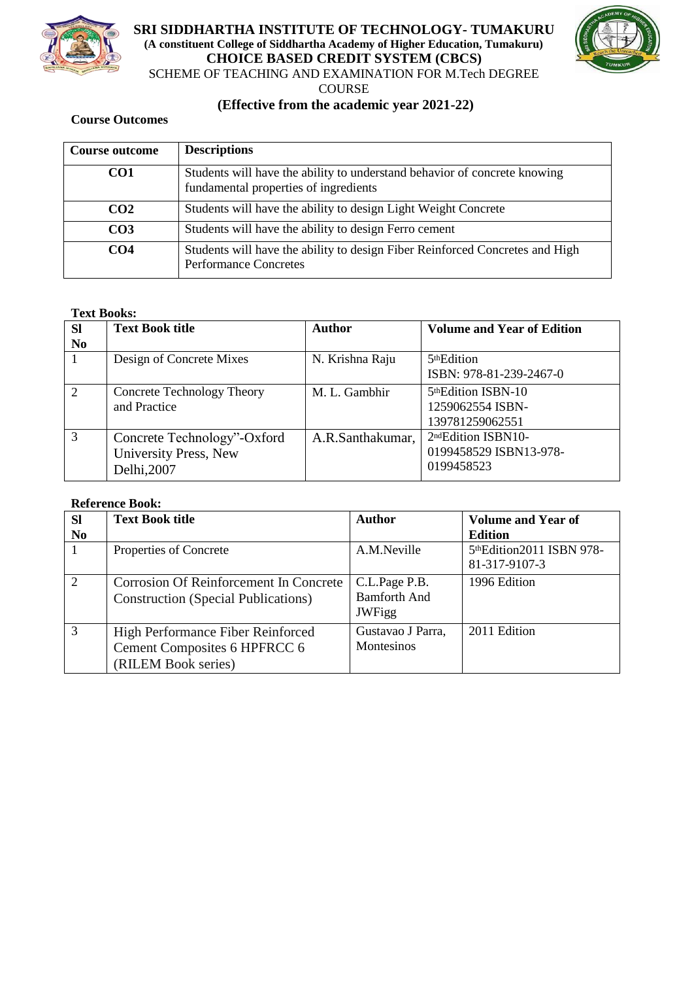



COURSE

## **(Effective from the academic year 2021-22)**

### **Course Outcomes**

| <b>Course outcome</b> | <b>Descriptions</b>                                                                                                |  |
|-----------------------|--------------------------------------------------------------------------------------------------------------------|--|
| CO <sub>1</sub>       | Students will have the ability to understand behavior of concrete knowing<br>fundamental properties of ingredients |  |
| CO <sub>2</sub>       | Students will have the ability to design Light Weight Concrete                                                     |  |
| CO <sub>3</sub>       | Students will have the ability to design Ferro cement                                                              |  |
| CO <sub>4</sub>       | Students will have the ability to design Fiber Reinforced Concretes and High<br><b>Performance Concretes</b>       |  |

### **Text Books:**

| <b>SI</b>      | <b>Text Book title</b>                                              | <b>Author</b>    | <b>Volume and Year of Edition</b>                                       |
|----------------|---------------------------------------------------------------------|------------------|-------------------------------------------------------------------------|
| N <sub>0</sub> |                                                                     |                  |                                                                         |
|                | Design of Concrete Mixes                                            | N. Krishna Raju  | 5 <sup>th</sup> Edition<br>ISBN: 978-81-239-2467-0                      |
| 2              | <b>Concrete Technology Theory</b><br>and Practice                   | M. L. Gambhir    | 5 <sup>th</sup> Edition ISBN-10<br>1259062554 ISBN-<br>139781259062551  |
| 3              | Concrete Technology"-Oxford<br>University Press, New<br>Delhi, 2007 | A.R.Santhakumar, | 2 <sup>nd</sup> Edition ISBN10-<br>0199458529 ISBN13-978-<br>0199458523 |

| <b>Sl</b>      | <b>Text Book title</b>                                                                   | <b>Author</b>                                         | <b>Volume and Year of</b>                 |
|----------------|------------------------------------------------------------------------------------------|-------------------------------------------------------|-------------------------------------------|
| N <sub>0</sub> |                                                                                          |                                                       | <b>Edition</b>                            |
|                | Properties of Concrete                                                                   | A.M.Neville                                           | 5thEdition2011 ISBN 978-<br>81-317-9107-3 |
| $\mathcal{L}$  | Corrosion Of Reinforcement In Concrete<br><b>Construction (Special Publications)</b>     | C.L.Page P.B.<br><b>Bamforth And</b><br><b>JWFigg</b> | 1996 Edition                              |
| 3              | High Performance Fiber Reinforced<br>Cement Composites 6 HPFRCC 6<br>(RILEM Book series) | Gustavao J Parra,<br>Montesinos                       | 2011 Edition                              |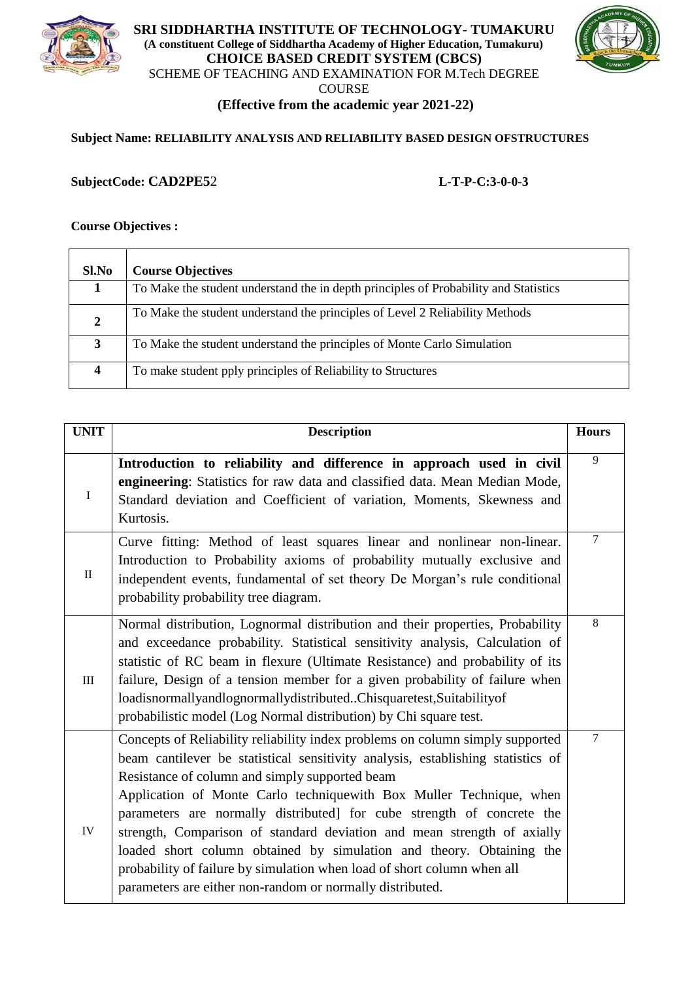



### **Subject Name: RELIABILITY ANALYSIS AND RELIABILITY BASED DESIGN OFSTRUCTURES**

**SubjectCode: CAD2PE5**2 **L-T-P-C:3-0-0-3**

### **Course Objectives :**

| Sl.No                   | <b>Course Objectives</b>                                                             |
|-------------------------|--------------------------------------------------------------------------------------|
|                         | To Make the student understand the in depth principles of Probability and Statistics |
|                         | To Make the student understand the principles of Level 2 Reliability Methods         |
| 3                       | To Make the student understand the principles of Monte Carlo Simulation              |
| $\overline{\mathbf{4}}$ | To make student pply principles of Reliability to Structures                         |

| <b>UNIT</b>  | <b>Description</b>                                                                                                                                                                                                                                                                                                                                                                                                                                                                                                                                                                                                                                             | <b>Hours</b>   |
|--------------|----------------------------------------------------------------------------------------------------------------------------------------------------------------------------------------------------------------------------------------------------------------------------------------------------------------------------------------------------------------------------------------------------------------------------------------------------------------------------------------------------------------------------------------------------------------------------------------------------------------------------------------------------------------|----------------|
| $\mathbf I$  | Introduction to reliability and difference in approach used in civil<br>engineering: Statistics for raw data and classified data. Mean Median Mode,<br>Standard deviation and Coefficient of variation, Moments, Skewness and<br>Kurtosis.                                                                                                                                                                                                                                                                                                                                                                                                                     | 9              |
| $\mathbf{I}$ | Curve fitting: Method of least squares linear and nonlinear non-linear.<br>Introduction to Probability axioms of probability mutually exclusive and<br>independent events, fundamental of set theory De Morgan's rule conditional<br>probability probability tree diagram.                                                                                                                                                                                                                                                                                                                                                                                     | $\overline{7}$ |
| III          | Normal distribution, Lognormal distribution and their properties, Probability<br>and exceedance probability. Statistical sensitivity analysis, Calculation of<br>statistic of RC beam in flexure (Ultimate Resistance) and probability of its<br>failure, Design of a tension member for a given probability of failure when<br>loadisnormallyandlognormallydistributedChisquaretest,Suitabilityof<br>probabilistic model (Log Normal distribution) by Chi square test.                                                                                                                                                                                        | 8              |
| IV           | Concepts of Reliability reliability index problems on column simply supported<br>beam cantilever be statistical sensitivity analysis, establishing statistics of<br>Resistance of column and simply supported beam<br>Application of Monte Carlo techniquewith Box Muller Technique, when<br>parameters are normally distributed] for cube strength of concrete the<br>strength, Comparison of standard deviation and mean strength of axially<br>loaded short column obtained by simulation and theory. Obtaining the<br>probability of failure by simulation when load of short column when all<br>parameters are either non-random or normally distributed. | $\tau$         |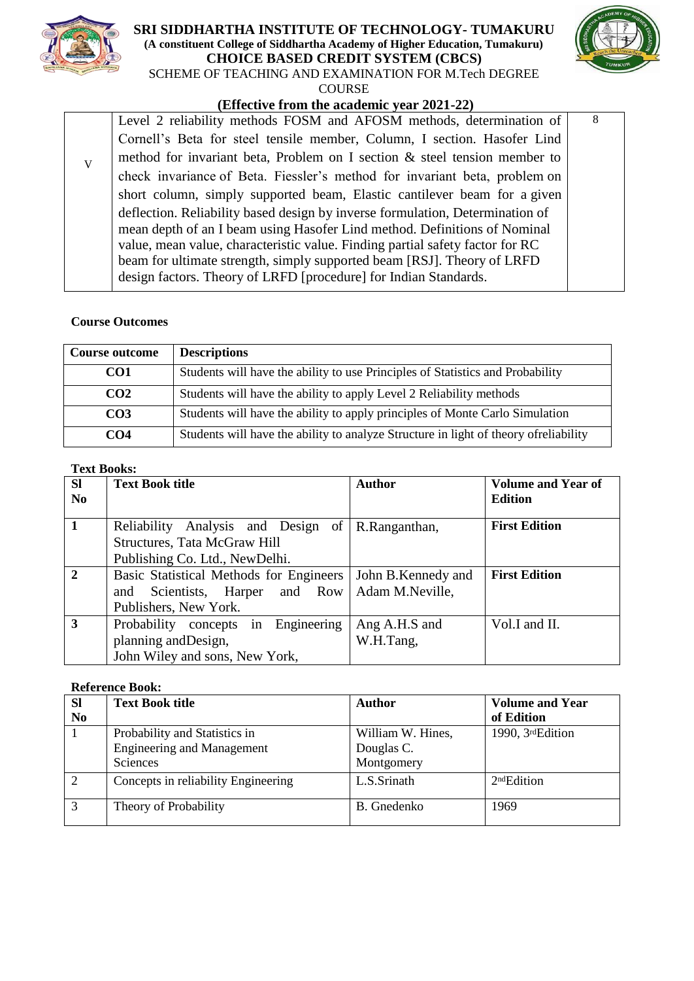

### **SRI SIDDHARTHA INSTITUTE OF TECHNOLOGY- TUMAKURU (A constituent College of Siddhartha Academy of Higher Education, Tumakuru) CHOICE BASED CREDIT SYSTEM (CBCS)**



**COURSE** 

# **(Effective from the academic year 2021-22)**

|   | Level 2 reliability methods FOSM and AFOSM methods, determination of          | 8 |
|---|-------------------------------------------------------------------------------|---|
|   | Cornell's Beta for steel tensile member, Column, I section. Hasofer Lind      |   |
| V | method for invariant beta, Problem on I section $\&$ steel tension member to  |   |
|   | check invariance of Beta. Fiessler's method for invariant beta, problem on    |   |
|   | short column, simply supported beam, Elastic cantilever beam for a given      |   |
|   | deflection. Reliability based design by inverse formulation, Determination of |   |
|   | mean depth of an I beam using Hasofer Lind method. Definitions of Nominal     |   |
|   | value, mean value, characteristic value. Finding partial safety factor for RC |   |
|   | beam for ultimate strength, simply supported beam [RSJ]. Theory of LRFD       |   |
|   | design factors. Theory of LRFD [procedure] for Indian Standards.              |   |

### **Course Outcomes**

| <b>Course outcome</b> | <b>Descriptions</b>                                                                   |
|-----------------------|---------------------------------------------------------------------------------------|
| CO <sub>1</sub>       | Students will have the ability to use Principles of Statistics and Probability        |
| CO <sub>2</sub>       | Students will have the ability to apply Level 2 Reliability methods                   |
| CO <sub>3</sub>       | Students will have the ability to apply principles of Monte Carlo Simulation          |
| CO <sub>4</sub>       | Students will have the ability to analyze Structure in light of theory of reliability |

### **Text Books:**

| <b>Sl</b><br>N <sub>0</sub> | <b>Text Book title</b>                                                | <b>Author</b>      | <b>Volume and Year of</b><br><b>Edition</b> |
|-----------------------------|-----------------------------------------------------------------------|--------------------|---------------------------------------------|
| $\vert$ 1                   | Analysis and Design of<br>Reliability<br>Structures, Tata McGraw Hill | R.Ranganthan,      | <b>First Edition</b>                        |
|                             | Publishing Co. Ltd., NewDelhi.                                        |                    |                                             |
| $\sqrt{2}$                  | Basic Statistical Methods for Engineers                               | John B.Kennedy and | <b>First Edition</b>                        |
|                             | and Scientists, Harper and Row                                        | Adam M.Neville,    |                                             |
|                             | Publishers, New York.                                                 |                    |                                             |
| $\overline{3}$              | Probability<br>Engineering<br>concepts in                             | Ang A.H.S and      | Vol.I and II.                               |
|                             | planning and Design,                                                  | W.H.Tang,          |                                             |
|                             | John Wiley and sons, New York,                                        |                    |                                             |

| <b>SI</b>      | <b>Text Book title</b>              | <b>Author</b>     | <b>Volume and Year</b> |
|----------------|-------------------------------------|-------------------|------------------------|
| N <sub>0</sub> |                                     |                   | of Edition             |
|                | Probability and Statistics in       | William W. Hines, | 1990, 3rdEdition       |
|                | <b>Engineering and Management</b>   | Douglas C.        |                        |
|                | <b>Sciences</b>                     | Montgomery        |                        |
|                | Concepts in reliability Engineering | L.S.Srinath       | 2 <sup>nd</sup> Edtion |
| 3              | Theory of Probability               | B. Gnedenko       | 1969                   |

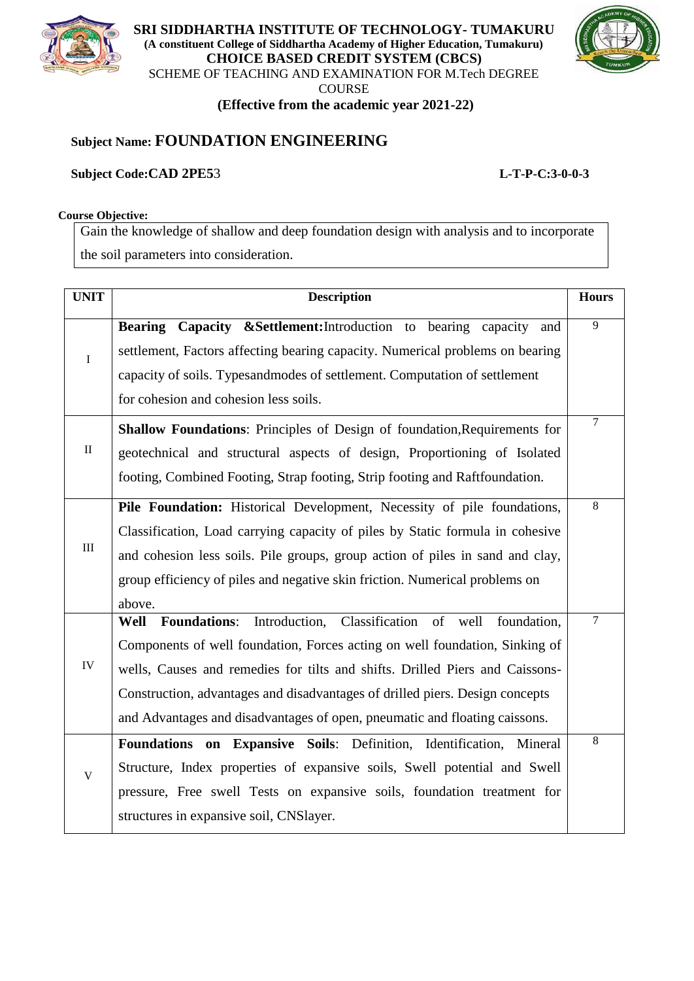



# **Subject Name: FOUNDATION ENGINEERING**

### **Subject Code:CAD 2PE5**3 **L-T-P-C:3-0-0-3**

### **Course Objective:**

Gain the knowledge of shallow and deep foundation design with analysis and to incorporate the soil parameters into consideration.

| <b>UNIT</b> | <b>Description</b>                                                                                                                                                                                                                                                                                                                                                                                                    | <b>Hours</b>   |
|-------------|-----------------------------------------------------------------------------------------------------------------------------------------------------------------------------------------------------------------------------------------------------------------------------------------------------------------------------------------------------------------------------------------------------------------------|----------------|
| $\mathbf I$ | Bearing Capacity &Settlement:Introduction to bearing capacity and<br>settlement, Factors affecting bearing capacity. Numerical problems on bearing<br>capacity of soils. Typesandmodes of settlement. Computation of settlement<br>for cohesion and cohesion less soils.                                                                                                                                              | $\overline{9}$ |
| $\rm II$    | Shallow Foundations: Principles of Design of foundation, Requirements for<br>geotechnical and structural aspects of design, Proportioning of Isolated<br>footing, Combined Footing, Strap footing, Strip footing and Raftfoundation.                                                                                                                                                                                  | $\tau$         |
| $\rm III$   | Pile Foundation: Historical Development, Necessity of pile foundations,<br>Classification, Load carrying capacity of piles by Static formula in cohesive<br>and cohesion less soils. Pile groups, group action of piles in sand and clay,<br>group efficiency of piles and negative skin friction. Numerical problems on<br>above.                                                                                    | 8              |
| IV          | Introduction, Classification<br><b>Foundations:</b><br>of<br>well<br>Well<br>foundation,<br>Components of well foundation, Forces acting on well foundation, Sinking of<br>wells, Causes and remedies for tilts and shifts. Drilled Piers and Caissons-<br>Construction, advantages and disadvantages of drilled piers. Design concepts<br>and Advantages and disadvantages of open, pneumatic and floating caissons. | $\tau$         |
| $\mathbf V$ | Foundations on Expansive Soils: Definition, Identification, Mineral<br>Structure, Index properties of expansive soils, Swell potential and Swell<br>pressure, Free swell Tests on expansive soils, foundation treatment for<br>structures in expansive soil, CNSlayer.                                                                                                                                                | $\,8\,$        |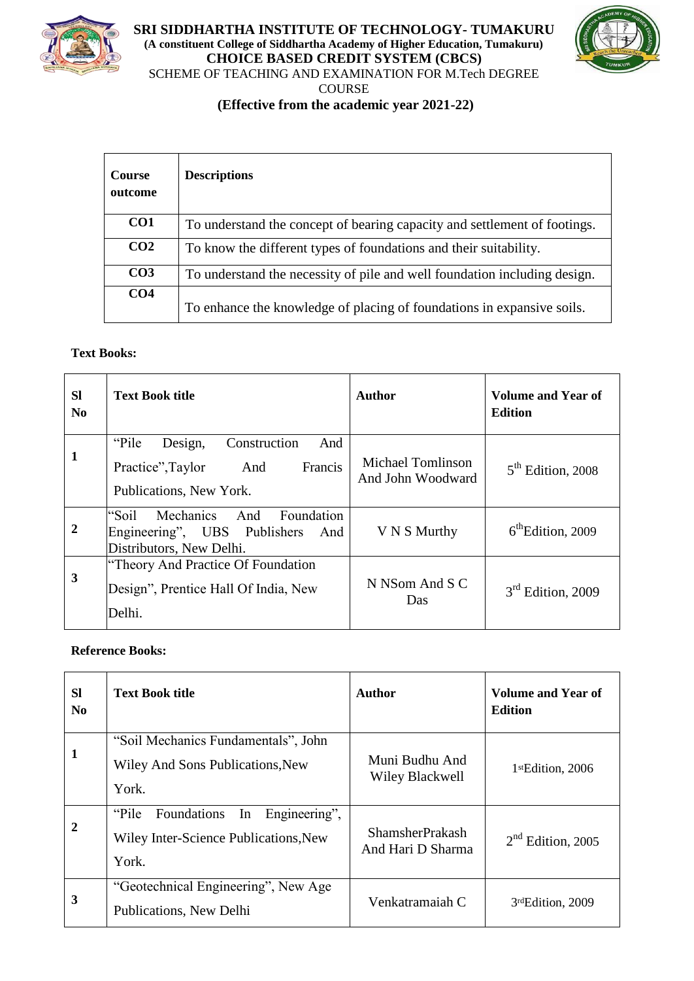



**(Effective from the academic year 2021-22)**

| Course<br>outcome | <b>Descriptions</b>                                                       |
|-------------------|---------------------------------------------------------------------------|
| CO <sub>1</sub>   | To understand the concept of bearing capacity and settlement of footings. |
| CO <sub>2</sub>   | To know the different types of foundations and their suitability.         |
| CO <sub>3</sub>   | To understand the necessity of pile and well foundation including design. |
| CO <sub>4</sub>   | To enhance the knowledge of placing of foundations in expansive soils.    |

### **Text Books:**

| <b>SI</b><br>N <sub>0</sub> | <b>Text Book title</b>                                                                                     | Author                                 | <b>Volume and Year of</b><br><b>Edition</b> |
|-----------------------------|------------------------------------------------------------------------------------------------------------|----------------------------------------|---------------------------------------------|
| 1                           | "Pile"<br>Construction<br>Design,<br>And<br>Francis<br>Practice", Taylor<br>And<br>Publications, New York. | Michael Tomlinson<br>And John Woodward | $5th$ Edition, 2008                         |
| $\mathbf{2}$                | Mechanics<br>And<br>Foundation<br>"Soil<br>Engineering", UBS Publishers<br>And<br>Distributors, New Delhi. | V N S Murthy                           | $6^{\text{th}}$ Edition, 2009               |
| 3                           | "Theory And Practice Of Foundation"<br>Design", Prentice Hall Of India, New<br>Delhi.                      | N NSom And S C<br>Das                  | $3rd$ Edition, 2009                         |

| <b>SI</b><br>N <sub>0</sub> | <b>Text Book title</b>                                                                         | <b>Author</b>                               | <b>Volume and Year of</b><br><b>Edition</b> |
|-----------------------------|------------------------------------------------------------------------------------------------|---------------------------------------------|---------------------------------------------|
| 1                           | "Soil Mechanics Fundamentals", John<br><b>Wiley And Sons Publications, New</b><br>York.        | Muni Budhu And<br>Wiley Blackwell           | 1stEdition, 2006                            |
| $\mathbf{2}$                | "Pile"<br>Foundations<br>Engineering",<br>In<br>Wiley Inter-Science Publications, New<br>York. | <b>ShamsherPrakash</b><br>And Hari D Sharma | $2nd$ Edition, 2005                         |
| 3                           | "Geotechnical Engineering", New Age<br>Publications, New Delhi                                 | Venkatramaiah C                             | 3rdEdition, 2009                            |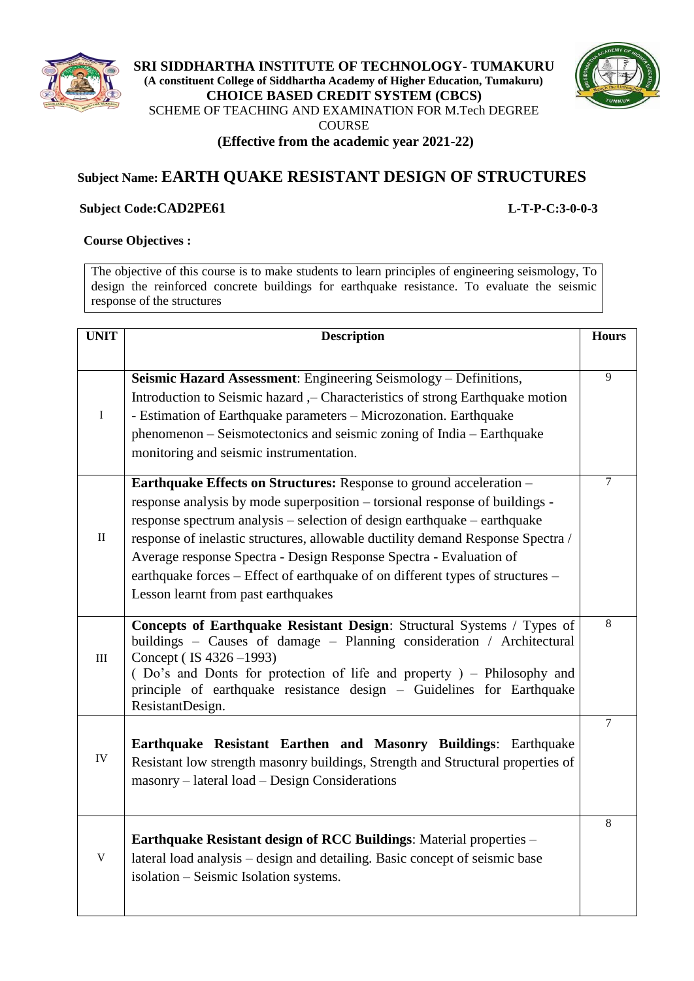

| SRI SIDDHARTHA INSTITUTE OF TECHNOLOGY- TUMAKURU                            |
|-----------------------------------------------------------------------------|
| (A constituent College of Siddhartha Academy of Higher Education, Tumakuru) |
| <b>CHOICE BASED CREDIT SYSTEM (CBCS)</b>                                    |
| SCHEME OF TEACHING AND EXAMINATION FOR M.Tech DEGREE                        |
| <b>COURSE</b>                                                               |
| (Effective from the academic year 2021-22)                                  |



# **Subject Name: EARTH QUAKE RESISTANT DESIGN OF STRUCTURES**

# **Subject Code:CAD2PE61 L-T-P-C:3-0-0-3**

### **Course Objectives :**

The objective of this course is to make students to learn principles of engineering seismology, To design the reinforced concrete buildings for earthquake resistance. To evaluate the seismic response of the structures

| <b>UNIT</b> | <b>Description</b>                                                                                                                                                                                                                                                                                                                               |        |
|-------------|--------------------------------------------------------------------------------------------------------------------------------------------------------------------------------------------------------------------------------------------------------------------------------------------------------------------------------------------------|--------|
|             |                                                                                                                                                                                                                                                                                                                                                  |        |
|             | Seismic Hazard Assessment: Engineering Seismology - Definitions,                                                                                                                                                                                                                                                                                 | 9      |
|             | Introduction to Seismic hazard , - Characteristics of strong Earthquake motion                                                                                                                                                                                                                                                                   |        |
| $\bf I$     | - Estimation of Earthquake parameters – Microzonation. Earthquake                                                                                                                                                                                                                                                                                |        |
|             | phenomenon – Seismotectonics and seismic zoning of India – Earthquake                                                                                                                                                                                                                                                                            |        |
|             | monitoring and seismic instrumentation.                                                                                                                                                                                                                                                                                                          |        |
|             | Earthquake Effects on Structures: Response to ground acceleration -                                                                                                                                                                                                                                                                              | $\tau$ |
|             | response analysis by mode superposition – torsional response of buildings -                                                                                                                                                                                                                                                                      |        |
|             | response spectrum analysis - selection of design earthquake - earthquake                                                                                                                                                                                                                                                                         |        |
| $\rm II$    | response of inelastic structures, allowable ductility demand Response Spectra /                                                                                                                                                                                                                                                                  |        |
|             | Average response Spectra - Design Response Spectra - Evaluation of                                                                                                                                                                                                                                                                               |        |
|             | earthquake forces – Effect of earthquake of on different types of structures –                                                                                                                                                                                                                                                                   |        |
|             | Lesson learnt from past earthquakes                                                                                                                                                                                                                                                                                                              |        |
| $\rm III$   | Concepts of Earthquake Resistant Design: Structural Systems / Types of<br>buildings - Causes of damage - Planning consideration / Architectural<br>Concept (IS 4326 –1993)<br>(Do's and Donts for protection of life and property) – Philosophy and<br>principle of earthquake resistance design - Guidelines for Earthquake<br>ResistantDesign. | 8      |
|             |                                                                                                                                                                                                                                                                                                                                                  | $\tau$ |
| ${\rm IV}$  | Earthquake Resistant Earthen and Masonry Buildings: Earthquake<br>Resistant low strength masonry buildings, Strength and Structural properties of<br>masonry – lateral load – Design Considerations                                                                                                                                              |        |
|             |                                                                                                                                                                                                                                                                                                                                                  | 8      |
|             | <b>Earthquake Resistant design of RCC Buildings:</b> Material properties –                                                                                                                                                                                                                                                                       |        |
| $\mathbf V$ | lateral load analysis – design and detailing. Basic concept of seismic base                                                                                                                                                                                                                                                                      |        |
|             | isolation - Seismic Isolation systems.                                                                                                                                                                                                                                                                                                           |        |
|             |                                                                                                                                                                                                                                                                                                                                                  |        |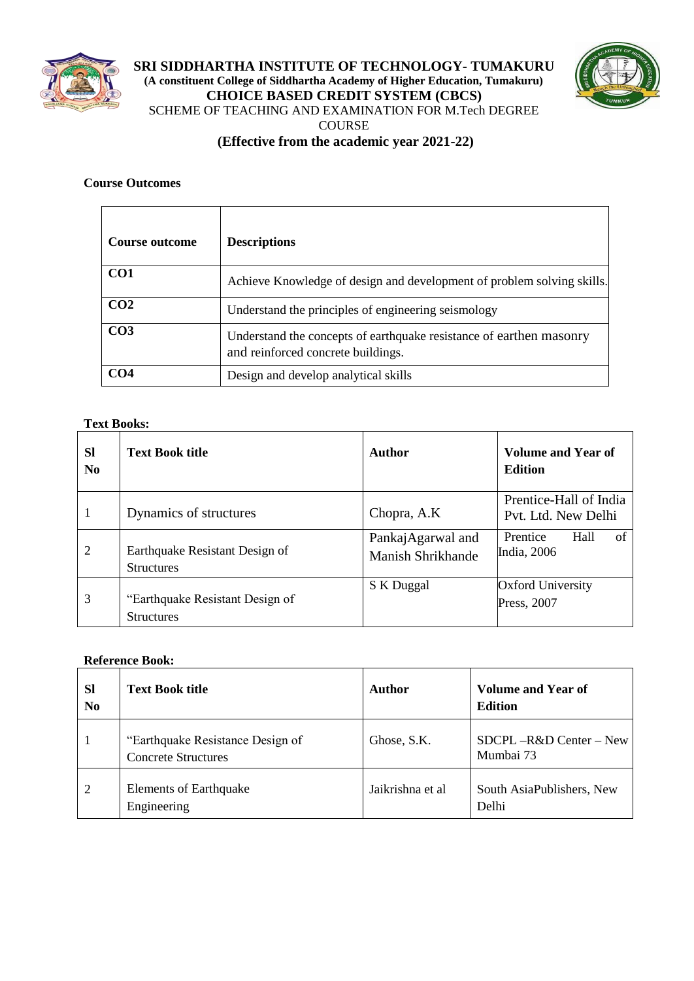



### **Course Outcomes**

| Course outcome  | <b>Descriptions</b>                                                                                       |
|-----------------|-----------------------------------------------------------------------------------------------------------|
| CO <sub>1</sub> | Achieve Knowledge of design and development of problem solving skills.                                    |
| CO <sub>2</sub> | Understand the principles of engineering seismology                                                       |
| CO <sub>3</sub> | Understand the concepts of earthquake resistance of earthen masonry<br>and reinforced concrete buildings. |
| CO <sub>4</sub> | Design and develop analytical skills                                                                      |

### **Text Books:**

| <b>Sl</b><br>N <sub>0</sub> | <b>Text Book title</b>                               | Author                                 | <b>Volume and Year of</b><br><b>Edition</b>   |
|-----------------------------|------------------------------------------------------|----------------------------------------|-----------------------------------------------|
| 1                           | Dynamics of structures                               | Chopra, A.K                            | Prentice-Hall of India<br>Pvt. Ltd. New Delhi |
| 2                           | Earthquake Resistant Design of<br><b>Structures</b>  | PankajAgarwal and<br>Manish Shrikhande | Prentice<br>Hall<br>of<br>India, 2006         |
| 3                           | "Earthquake Resistant Design of<br><b>Structures</b> | S K Duggal                             | <b>Oxford University</b><br>Press, 2007       |

| <b>Sl</b><br>N <sub>0</sub> | <b>Text Book title</b>                                         | Author           | <b>Volume and Year of</b><br><b>Edition</b> |
|-----------------------------|----------------------------------------------------------------|------------------|---------------------------------------------|
|                             | "Earthquake Resistance Design of<br><b>Concrete Structures</b> | Ghose, S.K.      | $SDCPL - R&D Center - New$<br>Mumbai 73     |
| 2                           | <b>Elements of Earthquake</b><br>Engineering                   | Jaikrishna et al | South AsiaPublishers, New<br>Delhi          |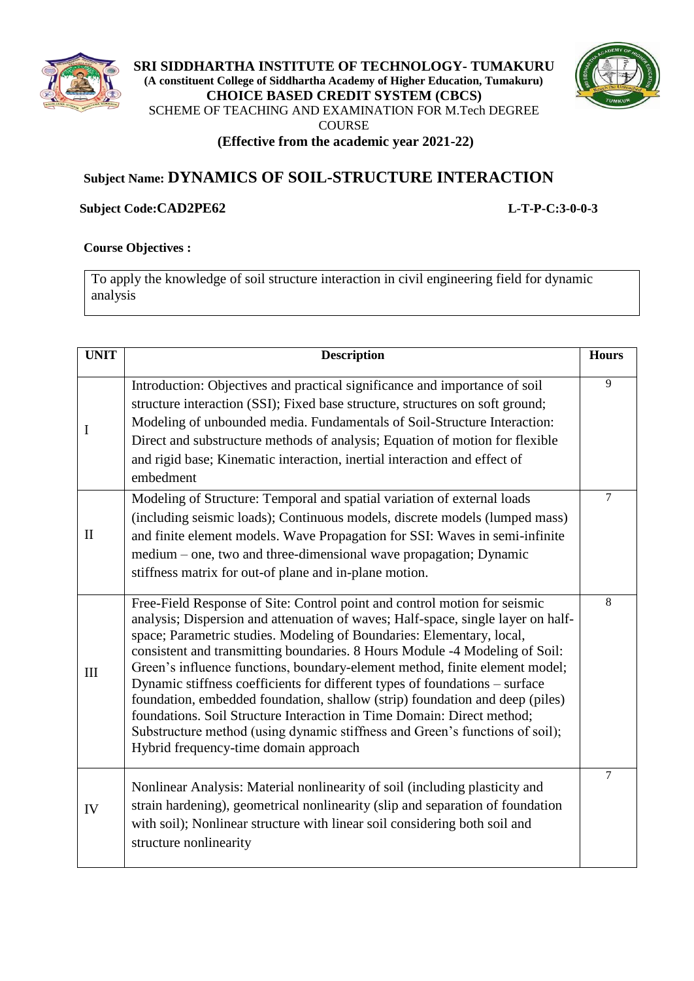



# **Subject Name: DYNAMICS OF SOIL-STRUCTURE INTERACTION**

### **Subject Code:CAD2PE62 L-T-P-C:3-0-0-3**

### **Course Objectives :**

To apply the knowledge of soil structure interaction in civil engineering field for dynamic analysis

| <b>UNIT</b>  | <b>Description</b>                                                                                                                                                                                                                                                                                                                                                                                                                                                                                                                                                                                                                                                                                                                                                     | <b>Hours</b> |
|--------------|------------------------------------------------------------------------------------------------------------------------------------------------------------------------------------------------------------------------------------------------------------------------------------------------------------------------------------------------------------------------------------------------------------------------------------------------------------------------------------------------------------------------------------------------------------------------------------------------------------------------------------------------------------------------------------------------------------------------------------------------------------------------|--------------|
| I            | Introduction: Objectives and practical significance and importance of soil<br>structure interaction (SSI); Fixed base structure, structures on soft ground;<br>Modeling of unbounded media. Fundamentals of Soil-Structure Interaction:<br>Direct and substructure methods of analysis; Equation of motion for flexible<br>and rigid base; Kinematic interaction, inertial interaction and effect of<br>embedment                                                                                                                                                                                                                                                                                                                                                      | 9            |
| $\mathbf{I}$ | Modeling of Structure: Temporal and spatial variation of external loads<br>(including seismic loads); Continuous models, discrete models (lumped mass)<br>and finite element models. Wave Propagation for SSI: Waves in semi-infinite<br>medium - one, two and three-dimensional wave propagation; Dynamic<br>stiffness matrix for out-of plane and in-plane motion.                                                                                                                                                                                                                                                                                                                                                                                                   | 7            |
| III          | Free-Field Response of Site: Control point and control motion for seismic<br>analysis; Dispersion and attenuation of waves; Half-space, single layer on half-<br>space; Parametric studies. Modeling of Boundaries: Elementary, local,<br>consistent and transmitting boundaries. 8 Hours Module -4 Modeling of Soil:<br>Green's influence functions, boundary-element method, finite element model;<br>Dynamic stiffness coefficients for different types of foundations - surface<br>foundation, embedded foundation, shallow (strip) foundation and deep (piles)<br>foundations. Soil Structure Interaction in Time Domain: Direct method;<br>Substructure method (using dynamic stiffness and Green's functions of soil);<br>Hybrid frequency-time domain approach | 8            |
| IV           | Nonlinear Analysis: Material nonlinearity of soil (including plasticity and<br>strain hardening), geometrical nonlinearity (slip and separation of foundation<br>with soil); Nonlinear structure with linear soil considering both soil and<br>structure nonlinearity                                                                                                                                                                                                                                                                                                                                                                                                                                                                                                  | 7            |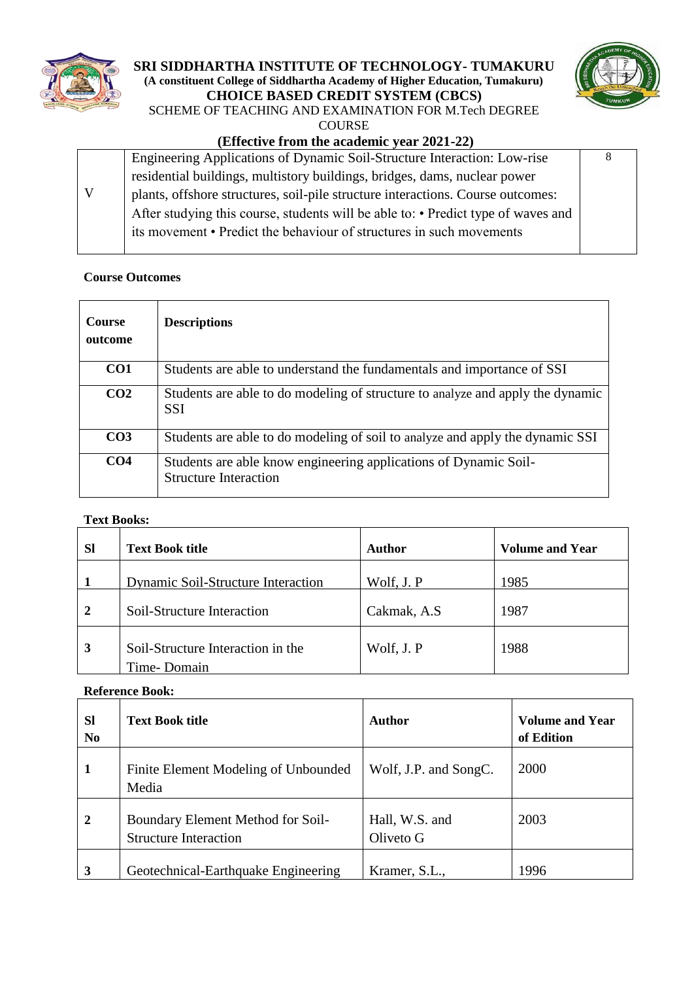



### **(Effective from the academic year 2021-22)**

|   | Engineering Applications of Dynamic Soil-Structure Interaction: Low-rise          |  |
|---|-----------------------------------------------------------------------------------|--|
|   | residential buildings, multistory buildings, bridges, dams, nuclear power         |  |
| V | plants, offshore structures, soil-pile structure interactions. Course outcomes:   |  |
|   | After studying this course, students will be able to: • Predict type of waves and |  |
|   | its movement • Predict the behaviour of structures in such movements              |  |
|   |                                                                                   |  |

### **Course Outcomes**

| <b>Course</b><br>outcome | <b>Descriptions</b>                                                                              |
|--------------------------|--------------------------------------------------------------------------------------------------|
| CO <sub>1</sub>          | Students are able to understand the fundamentals and importance of SSI                           |
| CO <sub>2</sub>          | Students are able to do modeling of structure to analyze and apply the dynamic<br><b>SSI</b>     |
| CO <sub>3</sub>          | Students are able to do modeling of soil to analyze and apply the dynamic SSI                    |
| CO <sub>4</sub>          | Students are able know engineering applications of Dynamic Soil-<br><b>Structure Interaction</b> |

### **Text Books:**

| <b>Sl</b>    | <b>Text Book title</b>                           | <b>Author</b> | <b>Volume and Year</b> |
|--------------|--------------------------------------------------|---------------|------------------------|
|              | Dynamic Soil-Structure Interaction               | Wolf, J. P    | 1985                   |
| $\mathbf{2}$ | Soil-Structure Interaction                       | Cakmak, A.S   | 1987                   |
| 3            | Soil-Structure Interaction in the<br>Time-Domain | Wolf, J. P    | 1988                   |

| <b>SI</b><br>N <sub>0</sub> | <b>Text Book title</b>                                            | Author                      | <b>Volume and Year</b><br>of Edition |
|-----------------------------|-------------------------------------------------------------------|-----------------------------|--------------------------------------|
| 1                           | Finite Element Modeling of Unbounded<br>Media                     | Wolf, J.P. and SongC.       | 2000                                 |
| $\overline{2}$              | Boundary Element Method for Soil-<br><b>Structure Interaction</b> | Hall, W.S. and<br>Oliveto G | 2003                                 |
| 3                           | Geotechnical-Earthquake Engineering                               | Kramer, S.L.,               | 1996                                 |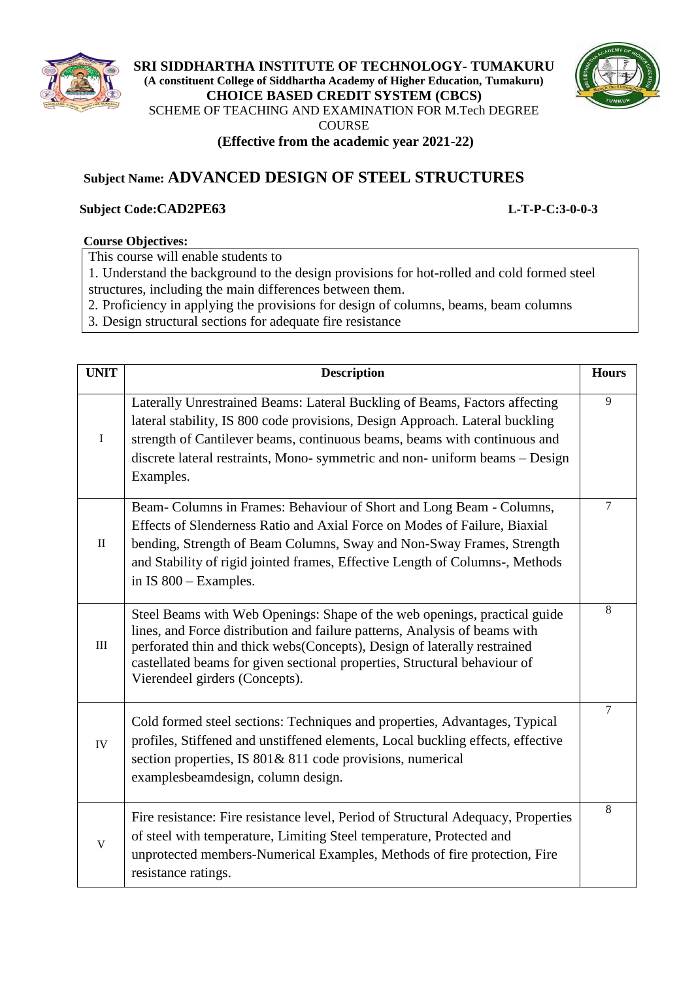



# **Subject Name: ADVANCED DESIGN OF STEEL STRUCTURES**

### **Subject Code:CAD2PE63 L-T-P-C:3-0-0-3**

### **Course Objectives:**

This course will enable students to

1. Understand the background to the design provisions for hot-rolled and cold formed steel structures, including the main differences between them.

- 2. Proficiency in applying the provisions for design of columns, beams, beam columns
- 3. Design structural sections for adequate fire resistance

| <b>UNIT</b>  | <b>Description</b>                                                                                                                                                                                                                                                                                                                                 | <b>Hours</b>   |
|--------------|----------------------------------------------------------------------------------------------------------------------------------------------------------------------------------------------------------------------------------------------------------------------------------------------------------------------------------------------------|----------------|
| $\mathbf I$  | Laterally Unrestrained Beams: Lateral Buckling of Beams, Factors affecting<br>lateral stability, IS 800 code provisions, Design Approach. Lateral buckling<br>strength of Cantilever beams, continuous beams, beams with continuous and<br>discrete lateral restraints, Mono-symmetric and non-uniform beams - Design<br>Examples.                 | 9              |
| $\mathbf{I}$ | Beam-Columns in Frames: Behaviour of Short and Long Beam - Columns,<br>Effects of Slenderness Ratio and Axial Force on Modes of Failure, Biaxial<br>bending, Strength of Beam Columns, Sway and Non-Sway Frames, Strength<br>and Stability of rigid jointed frames, Effective Length of Columns-, Methods<br>in IS $800 -$ Examples.               | $\overline{7}$ |
| $\rm III$    | Steel Beams with Web Openings: Shape of the web openings, practical guide<br>lines, and Force distribution and failure patterns, Analysis of beams with<br>perforated thin and thick webs(Concepts), Design of laterally restrained<br>castellated beams for given sectional properties, Structural behaviour of<br>Vierendeel girders (Concepts). | 8              |
| IV           | Cold formed steel sections: Techniques and properties, Advantages, Typical<br>profiles, Stiffened and unstiffened elements, Local buckling effects, effective<br>section properties, IS 801& 811 code provisions, numerical<br>examplesbeamdesign, column design.                                                                                  | $\overline{7}$ |
| V            | Fire resistance: Fire resistance level, Period of Structural Adequacy, Properties<br>of steel with temperature, Limiting Steel temperature, Protected and<br>unprotected members-Numerical Examples, Methods of fire protection, Fire<br>resistance ratings.                                                                                       | 8              |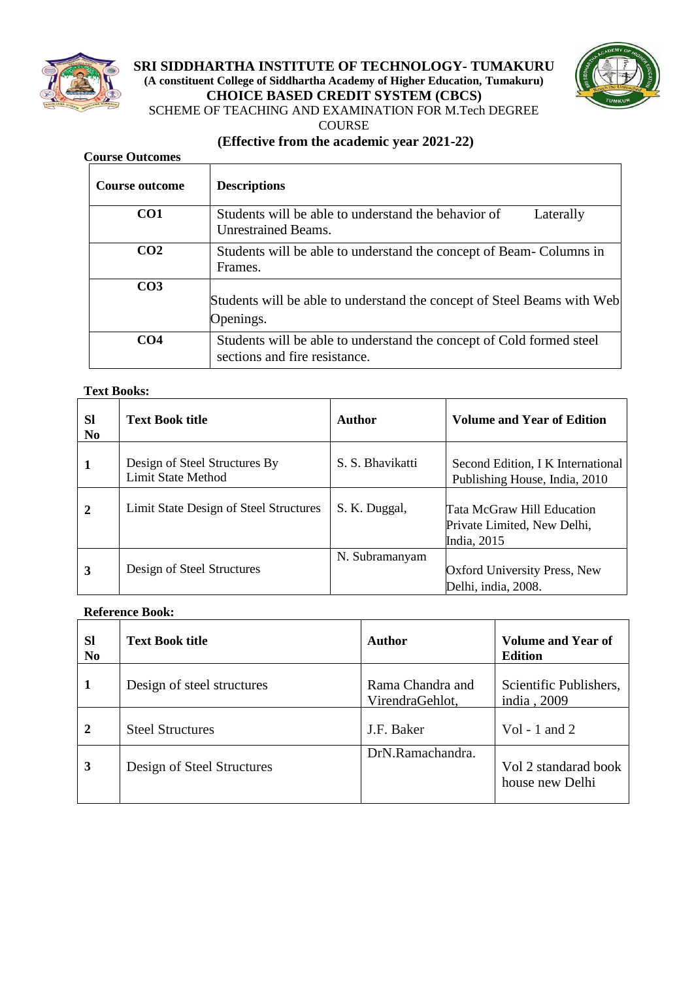

# **SRI SIDDHARTHA INSTITUTE OF TECHNOLOGY- TUMAKURU (A constituent College of Siddhartha Academy of Higher Education, Tumakuru) CHOICE BASED CREDIT SYSTEM (CBCS)**



SCHEME OF TEACHING AND EXAMINATION FOR M.Tech DEGREE

**COURSE** 

# **(Effective from the academic year 2021-22)**

### **Course Outcomes**

| Course outcome  | <b>Descriptions</b>                                                                                   |  |  |
|-----------------|-------------------------------------------------------------------------------------------------------|--|--|
| CO <sub>1</sub> | Students will be able to understand the behavior of<br>Laterally<br><b>Unrestrained Beams.</b>        |  |  |
| CO <sub>2</sub> | Students will be able to understand the concept of Beam-Columns in<br>Frames.                         |  |  |
| CO <sub>3</sub> | Students will be able to understand the concept of Steel Beams with Web<br>Openings.                  |  |  |
| CO <sub>4</sub> | Students will be able to understand the concept of Cold formed steel<br>sections and fire resistance. |  |  |

### **Text Books:**

| <b>SI</b><br>N <sub>0</sub> | <b>Text Book title</b>                              | Author           | <b>Volume and Year of Edition</b>                                        |
|-----------------------------|-----------------------------------------------------|------------------|--------------------------------------------------------------------------|
| 1                           | Design of Steel Structures By<br>Limit State Method | S. S. Bhavikatti | Second Edition, I K International<br>Publishing House, India, 2010       |
| $\overline{2}$              | Limit State Design of Steel Structures              | S. K. Duggal,    | Tata McGraw Hill Education<br>Private Limited, New Delhi,<br>India, 2015 |
| 3                           | Design of Steel Structures                          | N. Subramanyam   | Oxford University Press, New<br>Delhi, india, 2008.                      |

| <b>SI</b><br>N <sub>0</sub> | <b>Text Book title</b>     | Author                              | <b>Volume and Year of</b><br><b>Edition</b> |
|-----------------------------|----------------------------|-------------------------------------|---------------------------------------------|
|                             | Design of steel structures | Rama Chandra and<br>VirendraGehlot, | Scientific Publishers,<br>india, 2009       |
| $\mathbf 2$                 | <b>Steel Structures</b>    | J.F. Baker                          | Vol - 1 and 2                               |
| 3                           | Design of Steel Structures | DrN.Ramachandra.                    | Vol 2 standarad book<br>house new Delhi     |